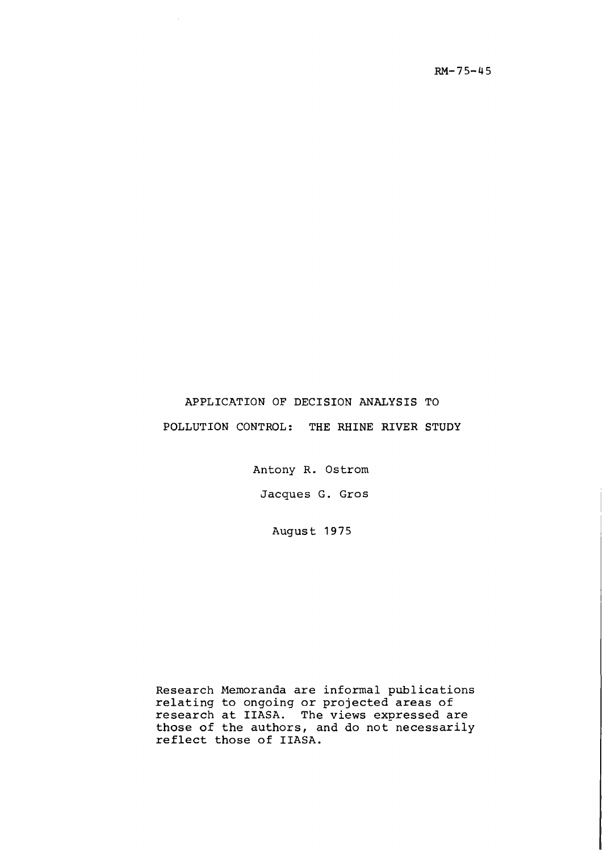$RM - 75 - 45$ 

# APPLICATION OF DECISION ANALYSIS TO

## POLLUTION CONTROL: THE RHINE RIVER STUDY

Antony R. Ostrom

Jacques G. Gros

August 1975

Research Memoranda are informal publications relating to ongoing or projected areas of research at IIASA. The views expressed are those of the authors, and do not necessarily reflect those of IIASA.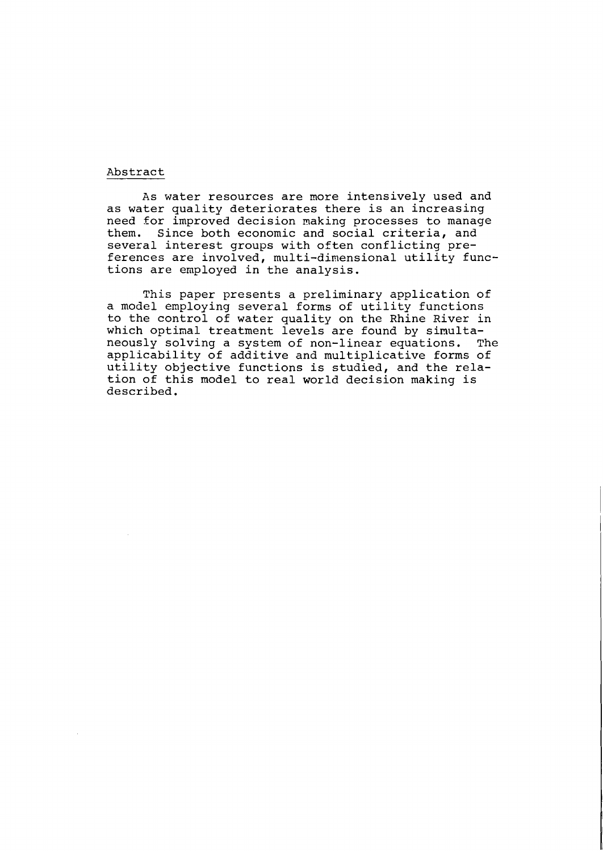#### Abstract

As water resources are more intensively used and as water quality deteriorates there is an increasing need for improved decision making processes to manage them. Since both economic and social criteria, and several interest groups with often conflicting preferences are involved, multi-dimensional utility functions are employed in the analysis.

This paper presents a preliminary application of a model employing several forms of utility functions to the control of water quality on the Rhine River in which optinal treatment levels are found by simultaneously solving a system of non-linear equations. The applicability of additive and multiplicative forms of utility objective functions is studied, and the relation of this model to real world decision making is described.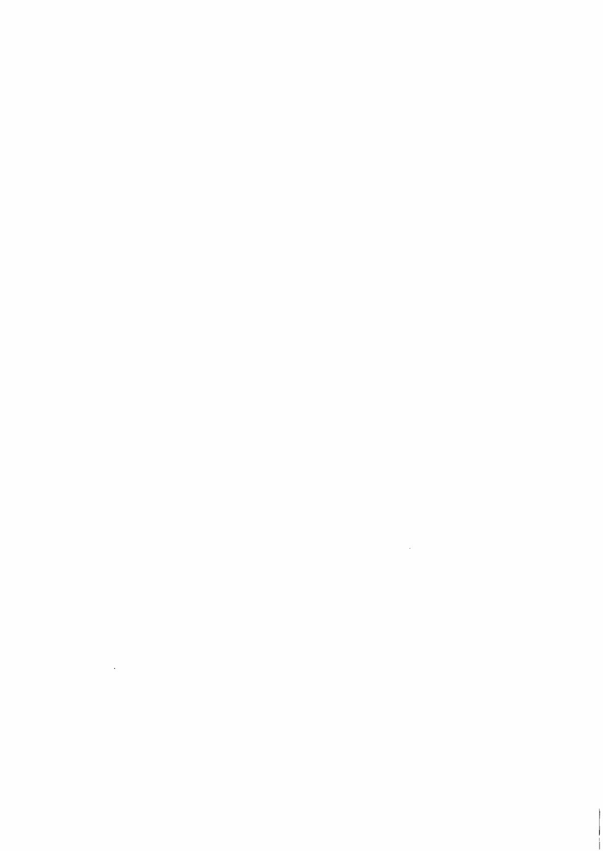$\label{eq:2.1} \mathcal{L}(\mathcal{L}^{\text{max}}_{\mathcal{L}}(\mathcal{L}^{\text{max}}_{\mathcal{L}}(\mathcal{L}^{\text{max}}_{\mathcal{L}}(\mathcal{L}^{\text{max}}_{\mathcal{L}^{\text{max}}_{\mathcal{L}}}))))$ 

 $\mathcal{L}^{\text{max}}_{\text{max}}$  and  $\mathcal{L}^{\text{max}}_{\text{max}}$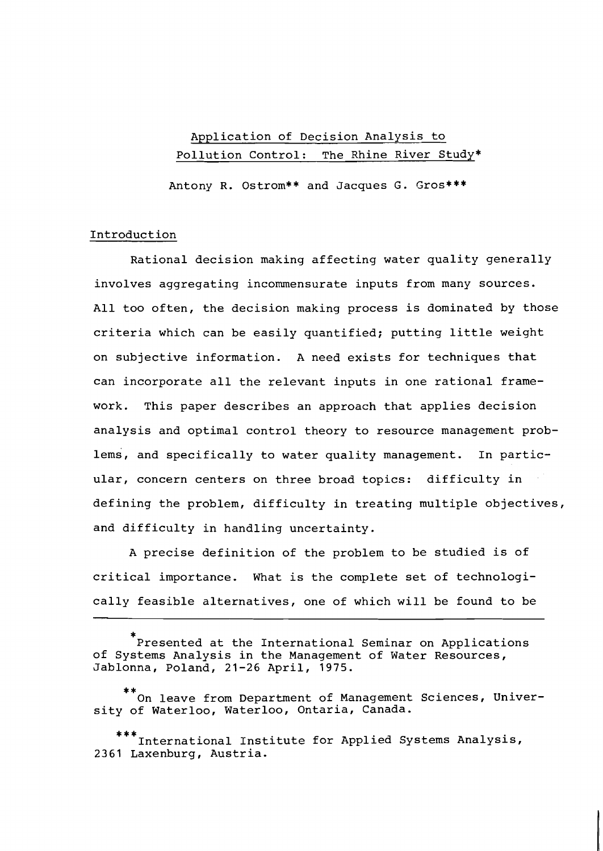# Application of Decision Analysis to Pollution Control: The Rhine River Study\*

Antony R. Ostrom\*\* and Jacques G. Gros\*\*\*

## Introduction

Rational decision making affecting water quality generally involves aggregating incommensurate inputs from many sources. All too often, the decision making process is dominated by those criteria which can be easily quantified; putting little weight on subjective information. A need exists for techniques that can incorporate all the relevant inputs in one rational framework. This paper describes an approach that applies decision analysis and optimal control theory to resource management problems, and specifically to water quality management. In particular, concern centers on three broad topics: difficulty in defining the problem, difficulty in treating multiple objectives, and difficulty in handling uncertainty.

A precise definition of the problem to be studied is of critical importance. What is the complete set of technologically feasible alternatives, one of which will be found to be

\* Presented at the International Seminar on Applications of Systems Analysis in the Management of Water Resources, Jablonna, Poland, 21-26 April, 1975.

\*\* On leave from Department of Management Sciences, University of Waterloo, Waterloo, Ontaria, Canada.

\*\*\* International Institute for Applied Systems Analysis, 2361 Laxenburg, Austria.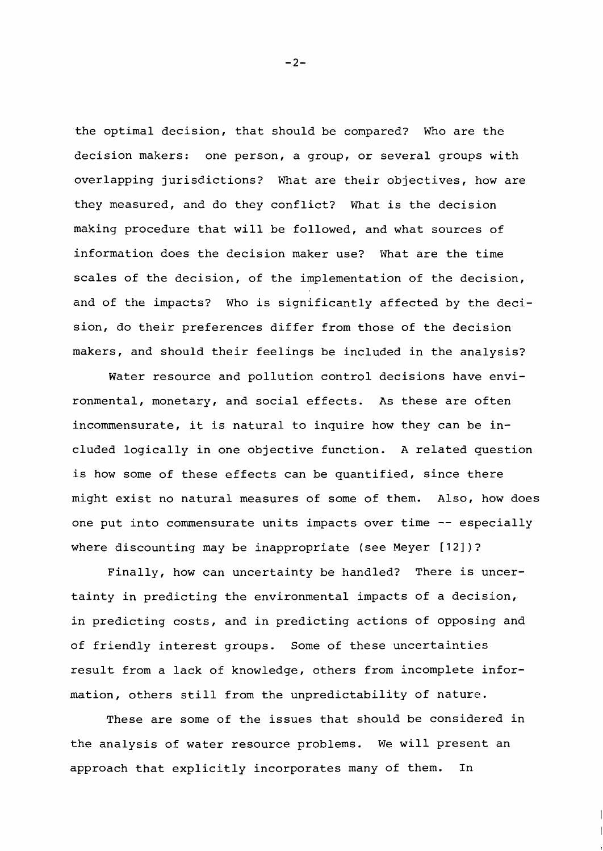the optimal decision, that should be compared? Who are the decision makers: one person, a group, or several groups with overlapping jurisdictions? What are their objectives, how are they measured, and do they conflict? What is the decision making procedure that will be followed, and what sources of information does the decision maker use? What are the time scales of the decision, of the implementation of the decision, and of the impacts? Who is significantly affected by the decision, do their preferences differ from those of the decision makers, and should their feelings be included in the analysis?

Water resource and pollution control decisions have environmental, monetary, and social effects. As these are often incommensurate, it is natural to inquire how they can be included logically in one objective function. A related question is how some of these effects can be quantified, since there might exist no natural measures of some of them. Also, how does one put into commensurate units impacts over time -- especially where discounting may be inappropriate (see Meyer **[12])?** 

Finally, how can uncertainty be handled? There is uncertainty in predicting the environmental impacts of a decision, in predicting costs, and in predicting actions of opposing and of friendly interest groups. Some of these uncertainties result from a lack of knowledge, others from incomplete information, others still from the unpredictability of nature.

These are some of the issues that should be considered in the analysis of water resource problems. We will present an approach that explicitly incorporates many of them. In

 $-2-$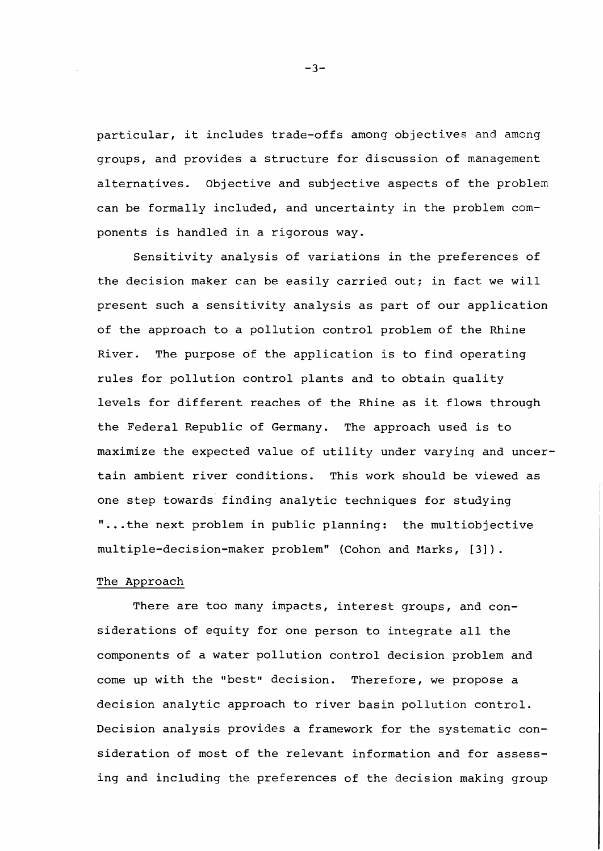particular, it includes trade-offs among objectives and among groups, and provides a structure for discussion of management alternatives. Objective and subjective aspects of the problem can be formally included, and uncertainty in the problem components is handled in a rigorous way.

Sensitivity analysis of variations in the preferences of the decision maker can be easily carried out; in fact we will present such a sensitivity analysis as part of our application of the approach to a pollution control problem of the Rhine River. The purpose of the application is to find operating rules for pollution control plants and to obtain quality levels for different reaches of the Rhine as it flows through the Federal Republic of Germany. The approach used is to maximize the expected value of utility under varying and uncertain ambient river conditions. This work should be viewed as one step towards finding analytic techniques for studying "...the next problem in public planning: the multiobjective multiple-decision-maker problem" (Cohon and Marks, [3] ) .

#### The Approach

There are too many impacts, interest groups, and considerations of equity for one person to integrate all the components of a water pollution control decision problem and come up with the "best" decision. Therefore, we propose a decision analytic approach to river basin pollution control. Decision analysis provides a framework for the systematic consideration of most of the relevant information and for assessing and including the preferences of the decision making group

 $-3-$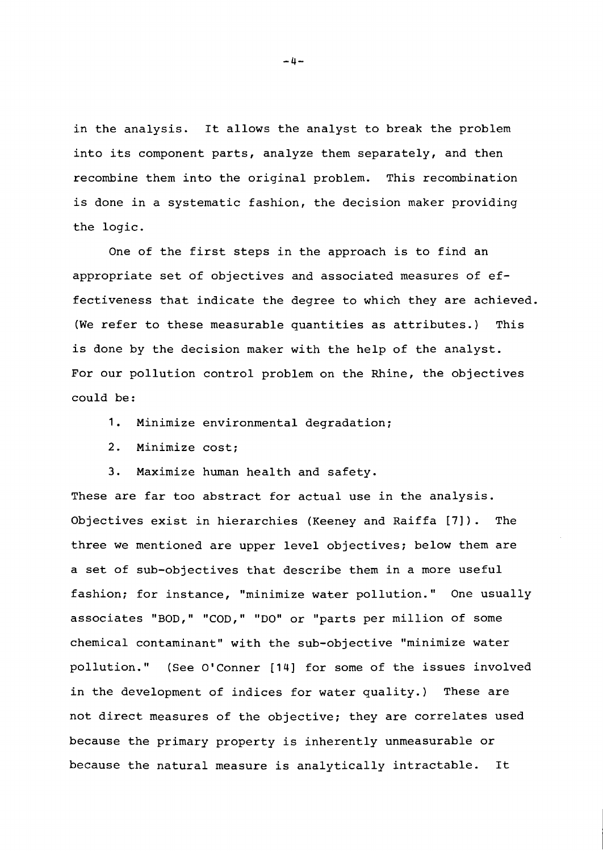in the analysis. It allows the analyst to break the problem into its component parts, analyze them separately, and then recombine them into the original problem. This recombination is done in a systematic fashion, the decision maker providing the logic.

One of the first steps in the approach is to find an appropriate set of objectives and associated measures of effectiveness that indicate the degree to which they are achieved. (We refer to these measurable quantities as attributes.) This is done by the decision maker with the help of the analyst. For our pollution control problem on the Rhine, the objectives could be :

- 1. Minimize environmental degradation;
- 2. Minimize cost;

3. Maximize human health and safety.

These are far too abstract for actual use in the analysis. Objectives exist in hierarchies (Keeney and Raiffa **[71).** The three we mentioned are upper level objectives; below them are a set of sub-objectives that describe them in a more useful fashion; for instance, "minimize water pollution." One usually associates "BOD," "COD," "DO" or "parts per million of some chemical contaminant" with the sub-objective "minimize water pollution." (See O'Conner [14] for some of the issues involved in the development of indices for water quality.) These are not direct measures of the objective; they are correlates used because the primary property is inherently unmeasurable or because the natural measure is analytically intractable. It

 $-4-$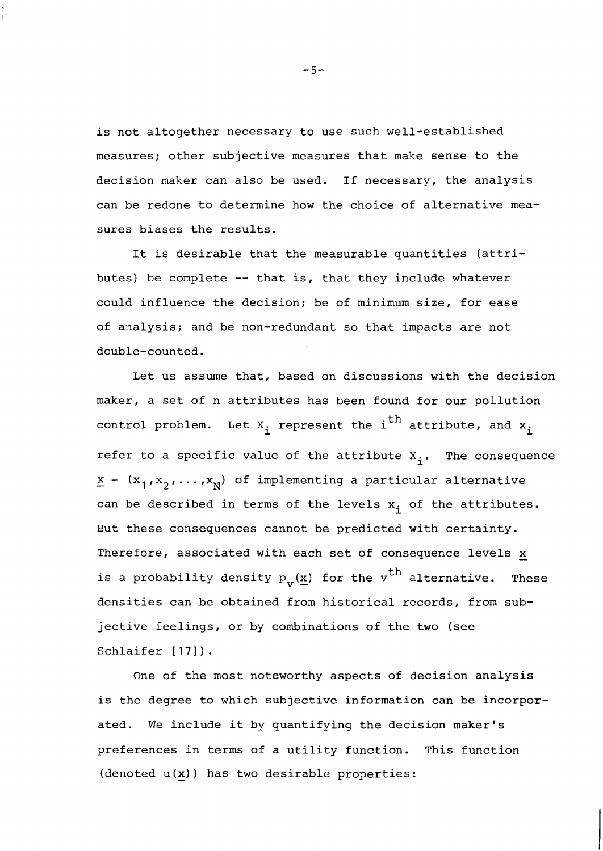is not altogether necessary to use such well-established measures; other subjective measures that make sense to the decision maker can also be used. If necessary, the analysis can be redone to determine how the choice of alternative measures biases the results.

It is desirable that the measurable quantities (attributes) be complete -- that is, that they include whatever could influence the decision; be of minimum size, for ease of analysis; and be non-redundant so that impacts are not double-counted.

Let us assume that, based on discussions with the decision maker, a set of n attributes has been found for our pollution control problem. Let  $X_i$  represent the i<sup>th</sup> attribute, and  $x_i$ refer to a specific value of the attribute  $X_i$ . The consequence  $\underline{x}$  =  $(x_1, x_2, ..., x_N)$  of implementing a particular alternative can be described in terms of the levels  $x_i$  of the attributes. But these consequences cannot be predicted with certainty. Therefore, associated with each set of consequence levels  $x$ is a probability density  $p_{V}(x)$  for the  $v^{th}$  alternative. These densities can be obtained from historical records, from subjective feelings, or by combinations of the two (see Schlaifer [17]).

One of the most noteworthy aspects of decision analysis is the degree to which subjective information can be incorporated. We include it by quantifying the decision maker's preferences in terms of a utility function. This function  $(denoted u(x))$  has two desirable properties:

 $-5-$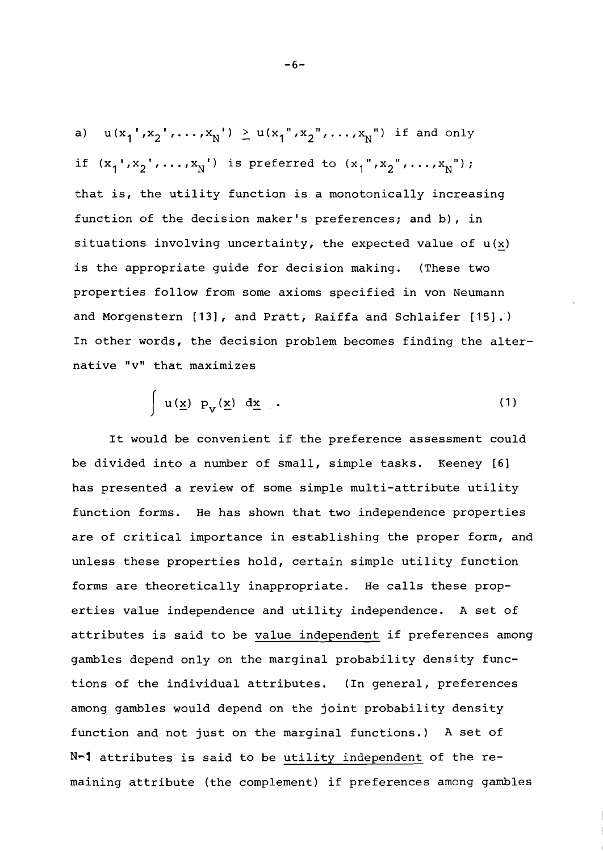a) 
$$
u(x_1', x_2', \ldots, x_N') \ge u(x_1'', x_2'', \ldots, x_N'')
$$
 if and only  
if  $(x_1', x_2', \ldots, x_N')$  is preferred to  $(x_1'', x_2'', \ldots, x_N'')$ ;  
that is, the utility function is a monotonically increasing  
function of the decision maker's preferences; and b), in  
situations involving uncertainty, the expected value of  $u(\underline{x})$   
is the appropriate guide for decision making. (These two  
properties follow from some axioms specified in von Neumann  
and Morgenstern [13], and Pratt, Raiffa and Schlaifer [15].)  
In other words, the decision problem becomes finding the alter-  
native "v" that maximizes

$$
\int u(\underline{x}) p_{\mathbf{v}}(\underline{x}) d\underline{x} . \qquad (1)
$$

It would be convenient if the preference assessment could be divided into a number of small, simple tasks. Keeney **[6]**  has presented a review of some simple multi-attribute utility function forms. He has shown that two independence properties are of critical importance in establishing the proper form, and unless these properties hold, certain simple utility function forms are theoretically inappropriate. He calls these properties value independence and utility independence. **A** set of attributes is said to be value independent if preferences among gambles depend only on the marginal probability density functions of the individual attributes. (In general, preferences among gambles would depend on the joint probability density function and not just on the marginal functions.) A set of **N-1** attributes is said to be utility independent of the remaining attribute (the complement) if preferences among gambles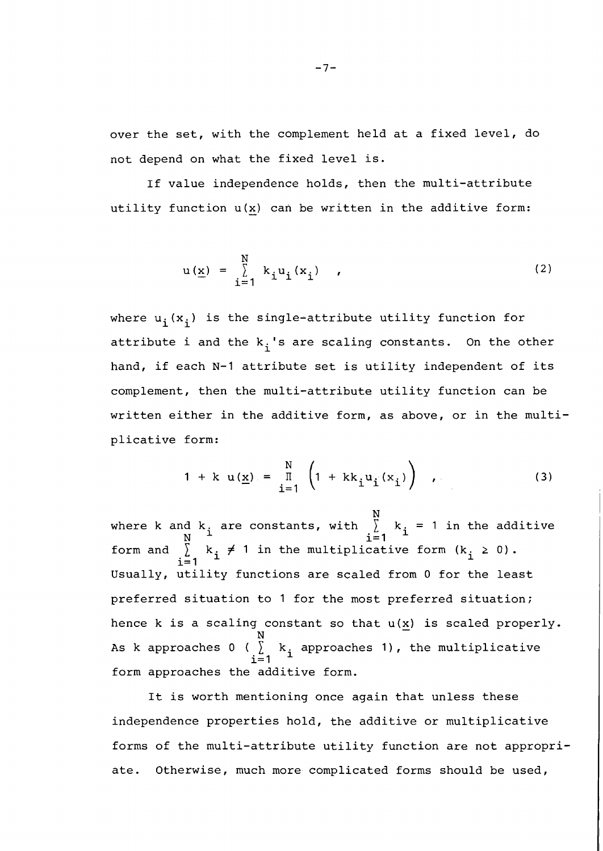over the set, with the complement held at a fixed level, do not depend on what the fixed level is.

If value independence holds, then the multi-attribute utility function  $u(x)$  can be written in the additive form:

$$
u(\underline{x}) = \sum_{i=1}^{N} k_i u_i(x_i) \qquad (2)
$$

where  $u_{\texttt{i}}(x_{\texttt{i}})$  is the single-attribute utility function for attribute i and the  $k_i$ 's are scaling constants. On the other hand, if each N-1 attribute set is utility independent of its complement, then the multi-attribute utility function can be written either in the additive form, as above, or in the multiplicative form:

$$
1 + k \mathbf{u}(\underline{\mathbf{x}}) = \frac{\mathbf{N}}{\mathbf{i} = 1} \left( 1 + k \mathbf{k}_{\underline{\mathbf{i}}} \mathbf{u}_{\underline{\mathbf{i}}} (\mathbf{x}_{\underline{\mathbf{i}}}) \right) , \qquad (3)
$$

 $\tilde{\mathbf{N}}$ where k and k<sub>i</sub> are constants, with  $\sum_{i=1}^{n} k_i = 1$  in the additive  $i=1$ form and  $\sum_{i=1}^{n} k_i \neq 1$  in the multiplicative form  $(k_i \geq 0)$ .  $i = 1$ Usually, utility functions are scaled from 0 for the least preferred situation to 1 for the most preferred situation; hence k is a scaling constant so that  $u(x)$  is scaled properly. As k approaches 0 (  $\begin{bmatrix} N \end{bmatrix}$  k<sub>i</sub> approaches 1), the multiplicative  $i=1$ form approaches the additive form.

It is worth mentioning once again that unless these independence properties hold, the additive or multiplicative forms of the multi-attribute utility function are not appropri-<br>ate. Otherwise, much more complicated forms should be used,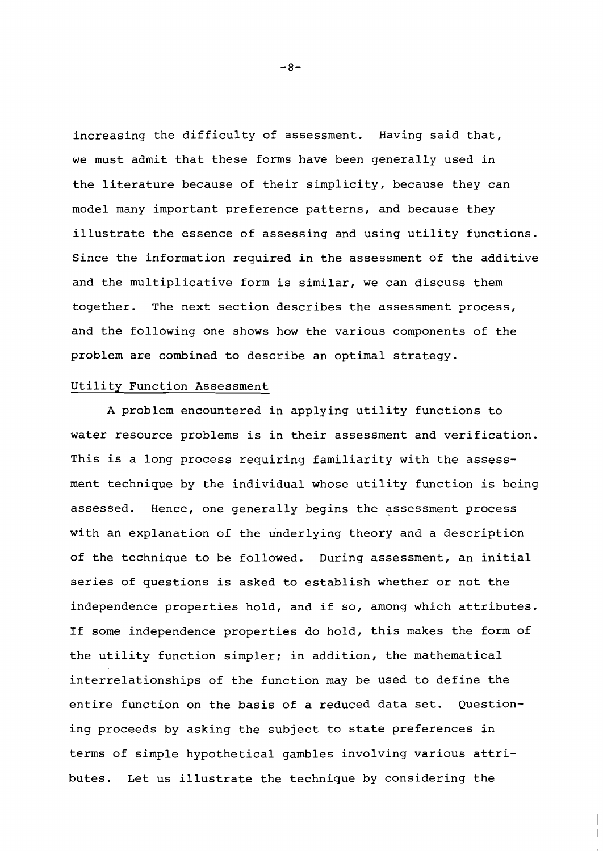increasing the difficulty of assessment. Having said that, we must admit that these forms have been generally used in the literature because of their simplicity, because they can model many important preference patterns, and because they illustrate the essence of assessing and using utility functions. Since the information required in the assessment of the additive and the multiplicative form is similar, we can discuss them together. The next section describes the assessment process, and the following one shows how the various components of the problem are combined to describe an optimal strategy.

#### Utility Function Assessment

A problem encountered in applying utility functions to water resource problems is in their assessment and verification. This is a long process requiring familiarity with the assessment technique by the individual whose utility function is being assessed. Hence, one generally begins the assessment process with an explanation of the underlying theory and a description of the technique to be followed. During assessment, an initial series of questions is asked to establish whether or not the independence properties hold, and if so, among which attributes. If some independence properties do hold, this makes the form of the utility function simpler; in addition, the mathematical interrelationships of the function may be used to define the entire function on the basis of a reduced data set. Questioning proceeds by asking the subject to state preferences in terms of simple hypothetical gambles involving various attributes. Let us illustrate the technique by considering the

 $-8-$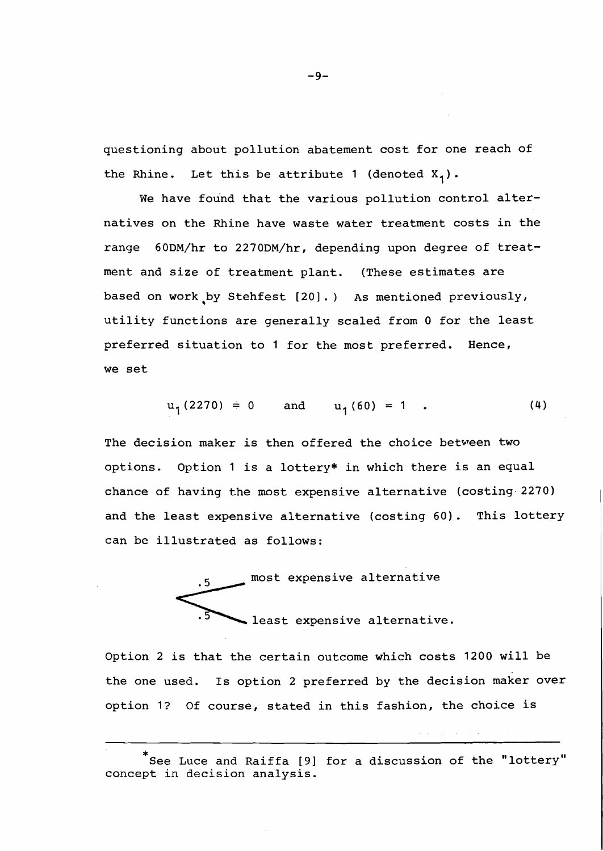questioning about pollution abatement cost for one reach of the Rhine. Let this be attribute 1 (denoted  $X_1$ ).

We have found that the various pollution control alternatives on the Rhine have waste water treatment costs in the range 6ODM/hr to 2270DM/hr, depending upon degree of treatment and size of treatment plant. (These estimates are based on work,by Stehfest [20].) AS mentioned previously, utility functions are generally scaled from 0 for the least preferred situation to 1 for the most preferred. Hence, we set

$$
u_1(2270) = 0 \qquad \text{and} \qquad u_1(60) = 1 \qquad . \tag{4}
$$

The decision maker is then offered the choice between two options. Option 1 is a lottery\* in which there is an equal chance of having the most expensive alternative (costing 2270) and the least expensive alternative (costing 60). This lottery can be illustrated as follows:

most expensive alternative  $-5$ - least expensive alternative.

Option 2 is that the certain outcome which costs 1200 will be the one used. Is option 2 preferred by the decision maker over option I? Of course, stated in this fashion, the choice is

<sup>\*</sup>  See Luce and Raiffa [9] for a discussion of the "lottery" concept in decision analysis.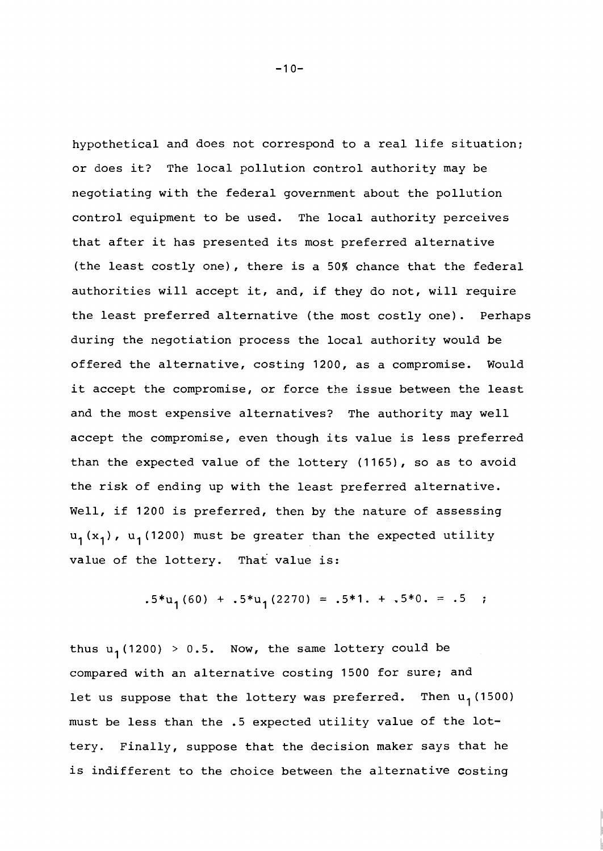hypothetical and does not correspond to a real life situation; or does it? The local pollution control authority may be negotiating with the federal government about the pollution control equipment to be used. The local authority perceives that after it has presented its most preferred alternative (the least costly one), there is a 50% chance that the federal authorities will accept it, and, if they do not, will require the least preferred alternative (the most costly one). Perhaps during the negotiation process the local authority would be offered the alternative, costing 1200, as a compromise. Would it accept the compromise, or force the issue between the least and the most expensive alternatives? The authority may well accept the compromise, even though its value is less preferred than the expected value of the lottery (1165), so as to avoid the risk of ending up with the least preferred alternative. Well, if 1200 is preferred, then by the nature of assessing  $u_1(x_1)$ ,  $u_1(1200)$  must be greater than the expected utility value of the lottery. That value is:

 $.5 * u<sub>1</sub>$  (60) +  $.5 * u<sub>1</sub>$  (2270) =  $.5 * 1. + .5 * 0. = .5$  ;

thus  $u_1$  (1200) > 0.5. Now, the same lottery could be compared with an alternative costing 1500 for sure; and let us suppose that the lottery was preferred. Then  $u_1$  (1500) must be less than the .5 expected utility value of the lottery. Finally, suppose that the decision maker says that he is indifferent to the choice between the alternative costing

 $-10-$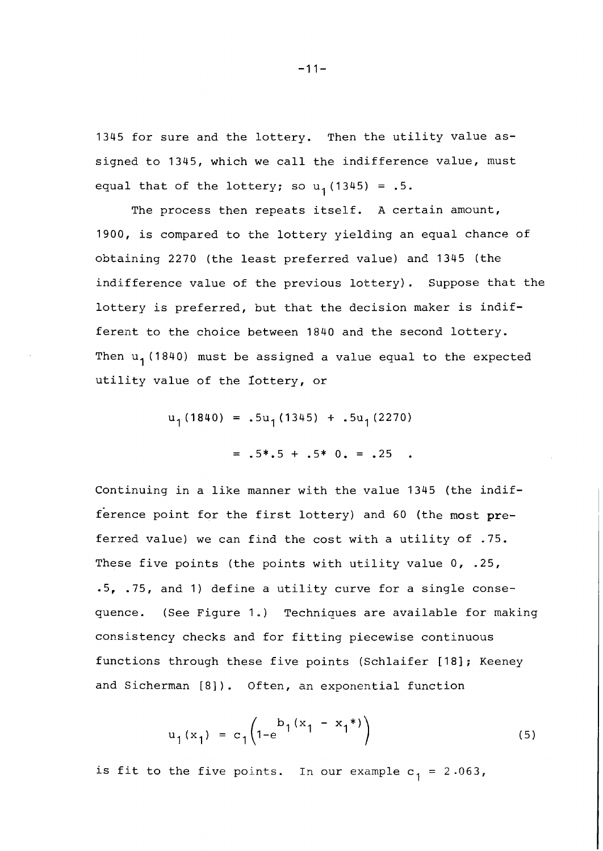1345 for sure and the lottery. Then the utility value assigned to 1345, which we call the indifference value, must equal that of the lottery; so  $u_1$  (1345) = .5.

The process then repeats itself. A certain amount, 1900, is compared to the lottery yielding an equal chance of obtaining 2270 (the least preferred value) and 1345 (the indifference value of the previous lottery). Suppose that the lottery is preferred, but that the decision maker is indifferent to the choice between 1840 and the second lottery. Then  $u_1$  (1840) must be assigned a value equal to the expected utility value of the lottery, or

 $u_1(1840) = .5u_1(1345) + .5u_1(2270)$ 

=  $.5*.5 + .5* 0. = .25$ .

Continuing in a like manner with the value 1345 (the indifference point for the first lottery) and 60 (the most preferred value) we can find the cost with a utility of .75. These five points (the points with utility value 0, .25, .5, .75, and 1) define a utility curve for a single consequence. (See Figure 1.) Techniques are available for making consistency checks and for fitting piecewise continuous functions through these five points (Schlaifer [181; Keeney and Sicherman **[8]).** Often, an exponential function

$$
u_1(x_1) = c_1 \left( 1 - e^{-b_1 (x_1 - x_1^*)} \right)
$$
 (5)

is fit to the five points. In our example  $c_1 = 2.063$ ,

 $-11-$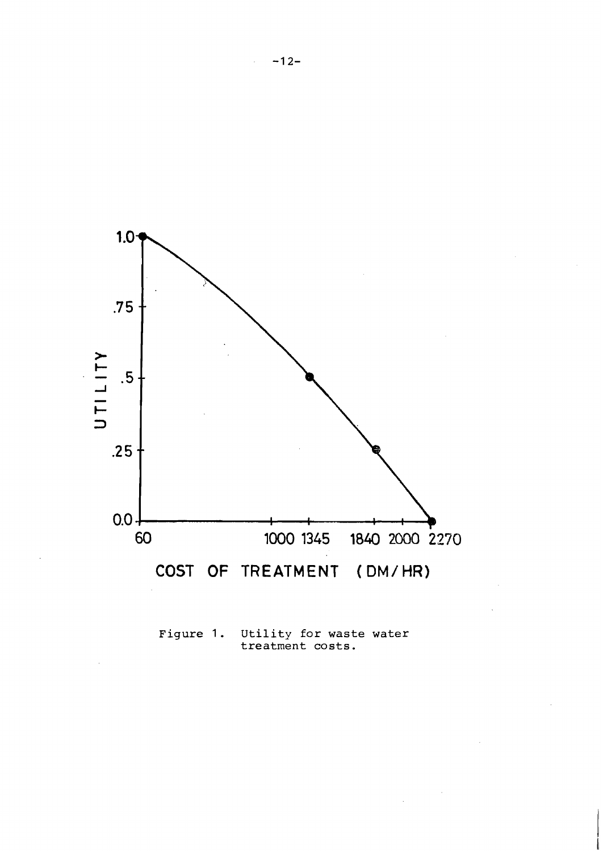

Figure **1.** Utility for waste water treatment costs.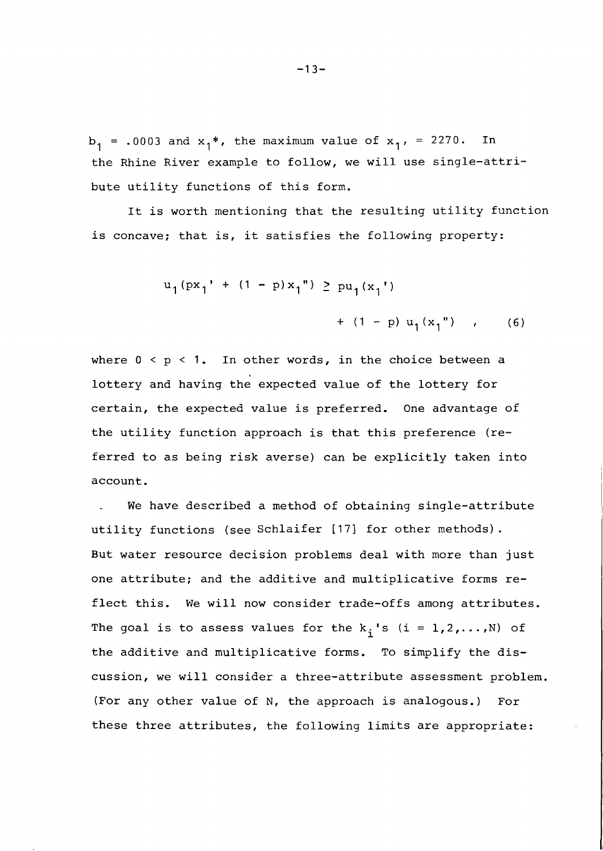$b_1 = .0003$  and  $x_1^*$ , the maximum value of  $x_1$ , = 2270. In the Rhine River example to follow, we will use single-attribute utility functions of this form.

It is worth mentioning that the resulting utility function is concave; that is, it satisfies the following property:

$$
u_1(px_1' + (1 - p)x_1'') \ge pu_1(x_1')
$$
  
+ (1 - p)  $u_1(x_1'')$ , (6)

where  $0 < p < 1$ . In other words, in the choice between a lottery and having the expected value of the lottery for certain, the expected value is preferred. One advantage of the utility function approach is that this preference (referred to as being risk averse) can be explicitly taken into account.

We have described a method of obtaining single-attribute utility functions (see Schlaifer [17] for other methods) . But water resource decision problems deal with more than just one attribute; and the additive and multiplicative forms reflect this. We will now consider trade-offs among attributes. The goal is to assess values for the  $k_i$ 's (i = 1,2,...,N) of the additive and multiplicative forms. To simplify the discussion, we will consider a three-attribute assessment problem. (For any other value of N, the approach is analogous.) For these three attributes, the following limits are appropriate: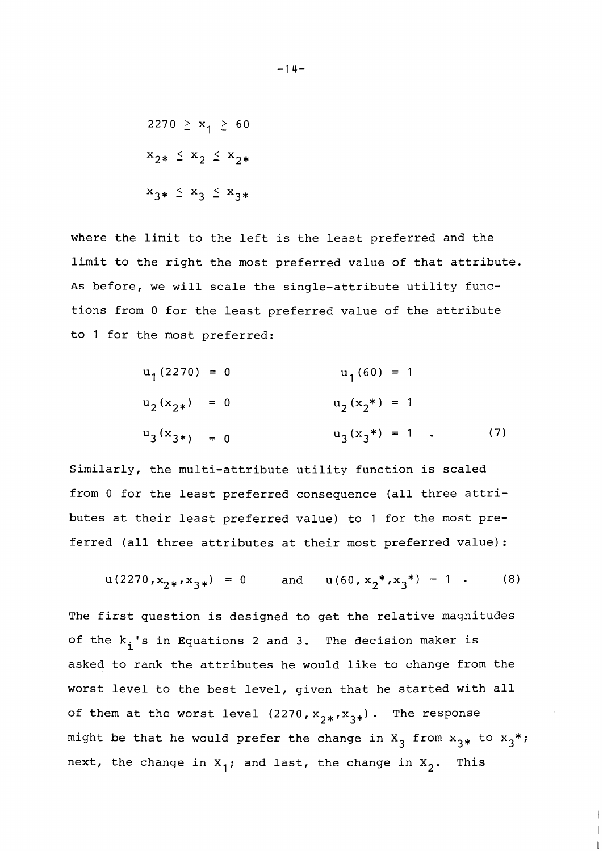$2270 \ge x_1 \ge 60$  $x_{2*} \leq x_2 \leq x_{2*}$  $x_3$   $\leq x_3 \leq x_3$ 

where the limit to the left is the least preferred and the limit to the right the most preferred value of that attribute. As before, we will scale the single-attribute utility functions from 0 for the least preferred value of the attribute to 1 for the most preferred:

$$
u_1 (2270) = 0
$$
  
\n
$$
u_2 (x_{2*}) = 0
$$
  
\n
$$
u_3 (x_{3*}) = 0
$$
  
\n
$$
u_3 (x_{3*}) = 0
$$
  
\n
$$
u_3 (x_{3*}) = 1
$$
  
\n
$$
(7)
$$

Similarly, the multi-attribute utility function is scaled from 0 for the least preferred consequence (all three attributes at their least preferred value) to 1 for the most preferred (all three attributes at their most preferred value):

$$
u(2270, x_{2}*}, x_{3}*}) = 0 \t and \t u(60, x_{2}*}, x_{3}*}) = 1 . \t (8)
$$

The first question is designed to get the relative magnitudes of the  $k_i$ 's in Equations 2 and 3. The decision maker is asked to rank the attributes he would like to change from the worst level to the best level, given that he started with all of them at the worst level  $(2270, x_{2*}, x_{3*})$ . The response might be that he would prefer the change in  $x_3$  from  $x_3*$  to  $x_3*$ ; next, the change in  $X_1$ ; and last, the change in  $X_2$ . This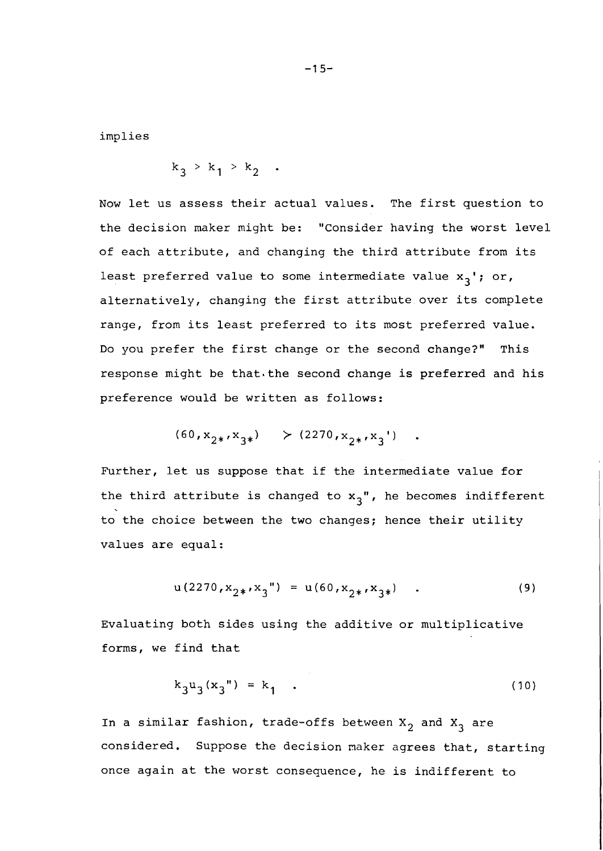implies

 $k_3 > k_1 > k_2$ .

Now let us assess their actual values. The first question to the decision maker might be: "Consider having the worst level of each attribute, and changing the third attribute from its least preferred value to some intermediate value  $x_3$ '; or, alternatively, changing the first attribute over its complete range, from its least preferred to its most preferred value. Do you prefer the first change or the second change?" This response might be that the second change is preferred and his preference would be written as follows:

$$
(60, x_{2*}, x_{3*}) \quad \succeq (2270, x_{2*}, x_3^{-1}) \quad .
$$

Further, let us suppose that if the intermediate value for the third attribute is changed to  $x_3$ ", he becomes indifferent to the choice between the two changes; hence their utility values are equal:

$$
u(2270, x_{2*}, x_3") = u(60, x_{2*}, x_{3*})
$$
 (9)

Evaluating both sides using the additive or multiplicative forms, we find that

$$
k_3 u_3(x_3") = k_1 . \t\t(10)
$$

In a similar fashion, trade-offs between  $X_2$  and  $X_3$  are considered. Suppose the decision naker agrees that, starting once again at the worst consequence, he is indifferent to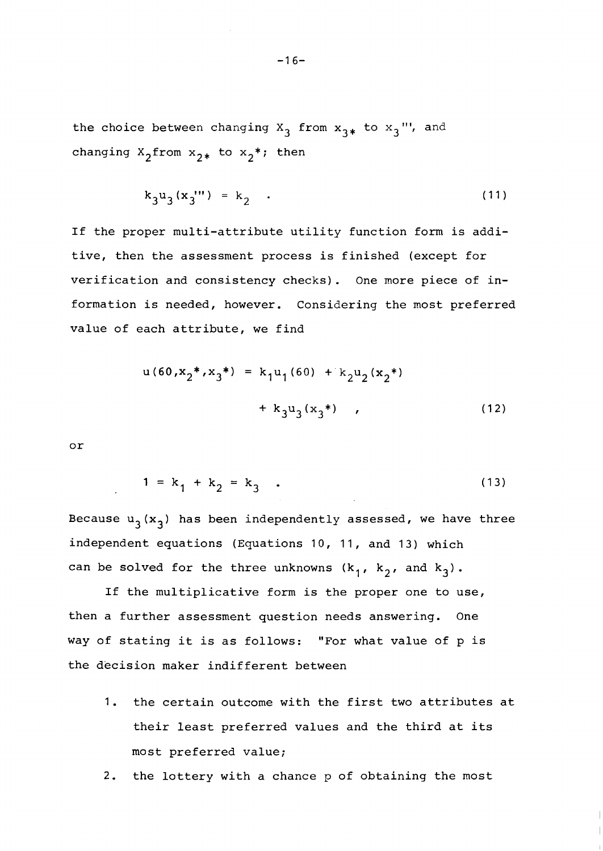the choice between changing  $X_3$  from  $x_{3*}$  to  $x_3$ "', and changing  $x_2$  from  $x_2$ \* to  $x_2$ \*; then

$$
k_3 u_3(x_3'''') = k_2 . \t\t(11)
$$

If the proper multi-attribute utility function form is additive, then the assessment process is finished (except for verification and consistency checks). One more piece of information is needed, however. Considering the most preferred value of each attribute, we find

$$
u(60, x_2^*, x_3^*) = k_1 u_1(60) + k_2 u_2(x_2^*)
$$
  
+  $k_3 u_3(x_3^*)$  (12)

or

$$
1 = k_1 + k_2 = k_3 \quad . \tag{13}
$$

Because  $u_3(x_3)$  has been independently assessed, we have three independent equations (Equations 10, 11, and 13) which can be solved for the three unknowns  $(k_1, k_2,$  and  $k_3)$ .

If the multiplicative form is the proper one to use, then a further assessment question needs answering. One way of stating it is as follows: "For what value of p is the decision maker indifferent between

- 1. the certain outcome with the first two attributes at their least preferred values and the third at its most preferred value;
- 2. the lottery with a chance p of obtaining the most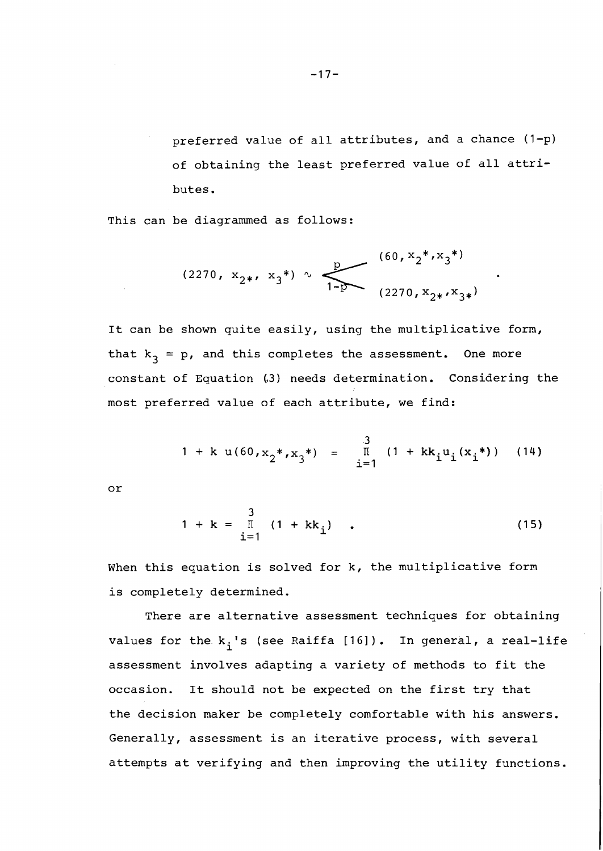preferred value of all attributes, and a chance (1-p) of obtaining the least preferred value of all attributes.

This can be diagrammed as follows:

$$
(2270, x_{2^*}, x_3^*) \sim \sum_{1-p}^{p} (60, x_2^*, x_3^*)
$$

It can be shown quite easily, using the multiplicative form, that  $k_3 = p$ , and this completes the assessment. One more constant of Equation **(,3)** needs determination. Considering the most preferred value of each attribute, we find:

$$
1 + k u(60, x_2^*, x_3^*) = \prod_{i=1}^{3} (1 + kk_i u_i(x_i^*)
$$
 (14)

or

$$
1 + k = \prod_{i=1}^{3} (1 + kk_{i}). \qquad (15)
$$

When this equation is solved for k, the multiplicative form is completely determined.

There are alternative assessment techniques for obtaining values for the k<sub>i</sub>'s (see Raiffa [16]). In general, a real-life assessment involves adapting a variety of methods to fit the occasion. It should not be expected on the first try that the decision maker be completely comfortable with his answers. Generally, assessment is an iterative process, with several attempts at verifying and then improving the utility functions.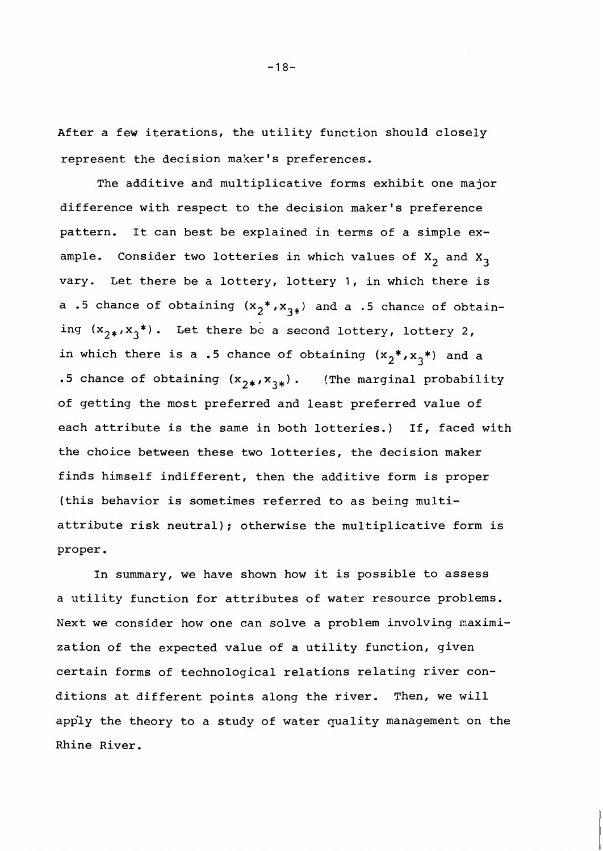After a few iterations, the utility function should closely represent the decision maker's preferences.

The additive and multiplicative forms exhibit one major difference with respect to the decision maker's preference pattern. It can best be explained in terms of a simple example. Consider two lotteries in which values of  $X_2$  and  $X_3$ vary. Let there be a lottery, lottery 1, in which there is a .5 chance of obtaining  $(x_2^*,x_{3*})$  and a .5 chance of obtaining  $(x_{2*},x_3^*)$ . Let there be a second lottery, lottery 2, in which there is a **.5** chance of obtaining  $(x_2^*,x_2^*)$  and a .5 chance of obtaining  $(x_{2*},x_{3*})$ . (The marginal probability of getting the most preferred and least preferred value of each attribute is the same in both lotteries.) If, faced with the choice between these two lotteries, the decision maker finds himself indifferent, then the additive form is proper (this behavior is sometimes referred to as being multiattribute risk neutral); otherwise the multiplicative form is proper.

In summary, we have shown how it is possible to assess a utility function for attributes of water resource problems. Next we consider how one can solve a problem involving naximization of the expected value of a utility function, given certain forms of technological relations relating river conditions at different points along the river. Then, we will apply the theory to a study of water quality management on the Rhine River.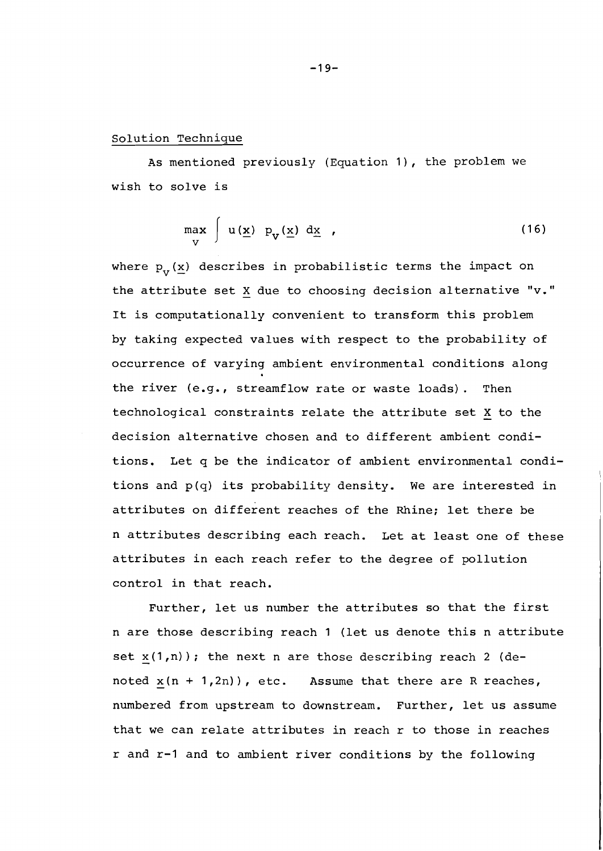#### Solution Technique

As mentioned previously (Equation I), the problem we wish to solve is

$$
\max_{\mathbf{y}} \int u(\mathbf{\underline{x}}) \ p_{\mathbf{y}}(\mathbf{\underline{x}}) d\mathbf{\underline{x}} \quad , \tag{16}
$$

where  $p_{V}(\underline{x})$  describes in probabilistic terms the impact on the attribute set  $X$  due to choosing decision alternative "v." It is computationally convenient to transform this problem by taking expected values with respect to the probability of occurrence of varying ambient environmental conditions along the river (e.g., streamflow rate or waste loads). Then technological constraints relate the attribute set X to the decision alternative chosen and to different ambient conditions. Let q be the indicator of ambient environmental conditions and p(q) its probability density. We are interested in attributes on different reaches of the Rhine; let there be n attributes describing each reach. Let at least one of these attributes in each reach refer to the degree of pollution control in that reach.

Further, let us number the attributes so that the first n are those describing reach 1 (let us denote this n attribute set  $x(1,n)$  ; the next n are those describing reach 2 (denoted  $x(n + 1,2n)$ , etc. Assume that there are R reaches, numbered from upstream to downstream. Further, let us assume that we can relate attributes in reach r to those in reaches r and r-1 and to ambient river conditions by the following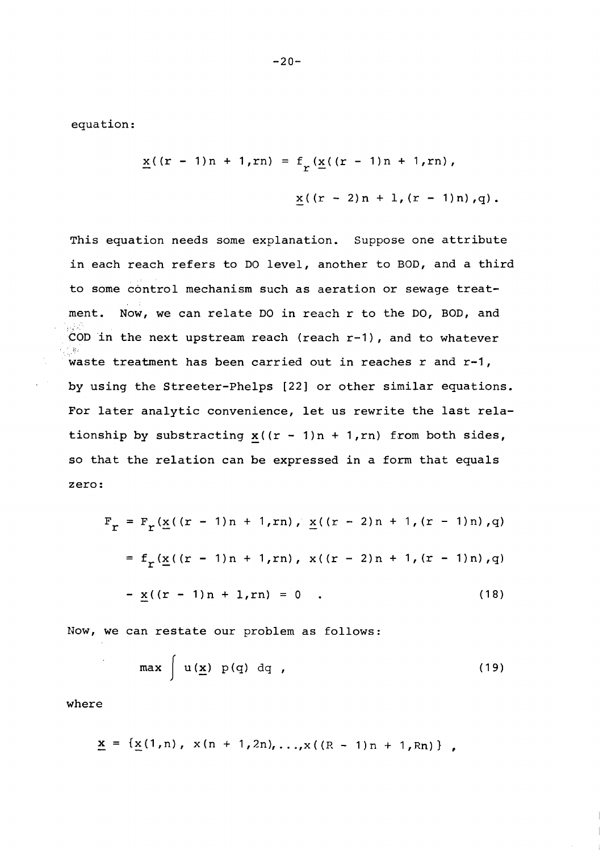equation:

$$
\underline{x}((r-1)n + 1, rn) = f_r(\underline{x}((r-1)n + 1, rn),
$$
  

$$
\underline{x}((r-2)n + 1, (r-1)n), q).
$$

This equation needs some explanation. Suppose one attribute in each reach refers to DO level, another to BOD, and a third to some control mechanism such as aeration or sewage treatment. Now, we can relate DO in reach r to the DO, BOD, and COD in the next upstream reach (reach  $r-1$ ), and to whatever waste treatment has been carried out in reaches r and r-1, by using the Streeter-Phelps [22] or other similar equations. For later analytic convenience, let us rewrite the last relationship by substracting  $x((r - 1)n + 1, rn)$  from both sides, so that the relation can be expressed in a form that equals zero:

$$
F_T = F_T(\underline{x}((r - 1)n + 1, rn), \underline{x}((r - 2)n + 1, (r - 1)n), q)
$$
  
=  $f_T(\underline{x}((r - 1)n + 1, rn), x((r - 2)n + 1, (r - 1)n), q)$   
-  $\underline{x}((r - 1)n + 1, rn) = 0$  (18)

Now, we can restate our problem as follows:

$$
\max \int u(\underline{x}) p(q) dq , \qquad (19)
$$

where

$$
\underline{x} = \{ \underline{x}(1,n), x(n+1,2n), \ldots, x((R-1)n+1,kn) \} ,
$$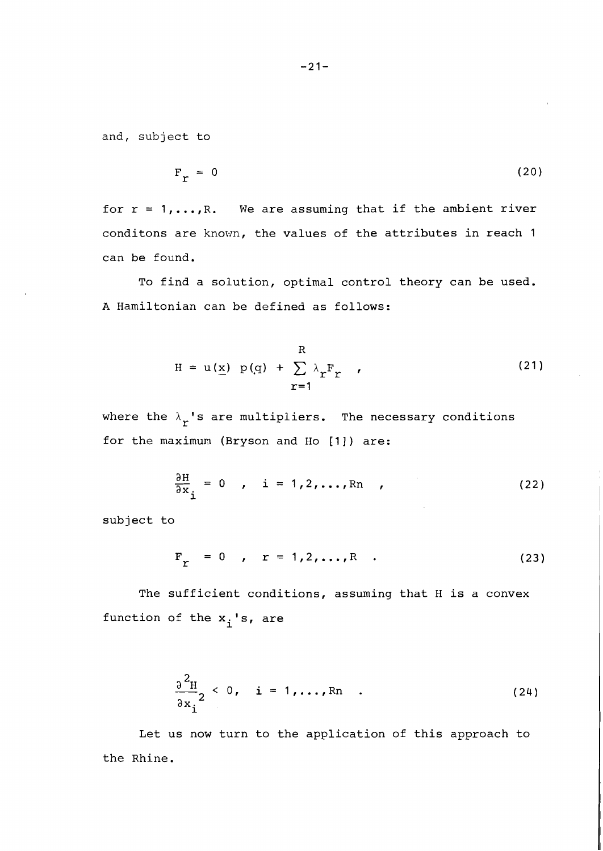and, subject to

$$
\mathbf{F}_r = 0 \tag{20}
$$

for  $r = 1, \ldots, R$ . We are assuming that if the ambient river conditons are known, the values of the attributes in reach 1 can be found.

To find a solution, optimal control theory can be used. A Hamiltonian can be defined as follows:

$$
H = u(\underline{x}) p(q) + \sum_{r=1}^{R} \lambda_r F_r
$$
 (21)

where the  $\lambda_r$ 's are multipliers. The necessary conditions for the maximum (Bryson and Ho [1]) are:

$$
\frac{\partial H}{\partial x_i} = 0 \t , i = 1, 2, ..., Rn \t (22)
$$

subject to

$$
F_r = 0 \t, r = 1, 2, ..., R \t. \t(23)
$$

The sufficient conditions, assuming that H is a convex function of the  $x_i$ 's, are

$$
\frac{\partial^2 H}{\partial x_i^2} < 0, \quad i = 1, \dots, \text{Rn} \quad . \tag{24}
$$

Let us now turn to the application of this approach to the Rhine.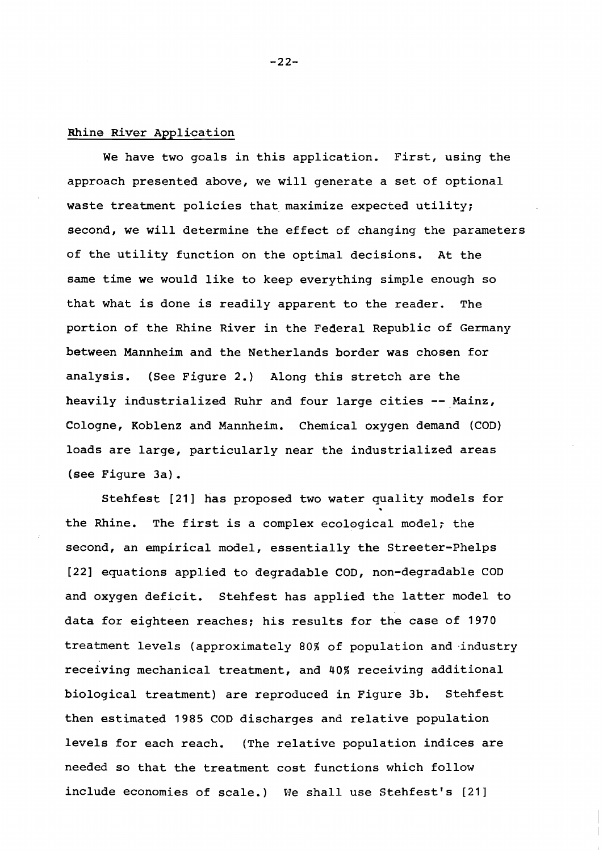#### Rhine River Application

We have two goals in this application. First, using the approach presented above, we will generate a set of optional waste treatment policies that maximize expected utility; second, we will determine the effect of changing the parameters of the utility function on the optimal decisions. At the same time we would like to keep everything simple enough so that what is done is readily apparent to the reader. The portion of the Rhine River in the Federal Republic of Germany between Mannheim and the Netherlands border was chosen for analysis. (See Figure 2.) Along this stretch are the heavily industrialized Ruhr and four large cities -- Mainz, Cologne, Koblenz and Mannheim. Chemical oxygen demand (COD) loads are large, particularly near the industrialized areas (see Figure 3a).

Stehfest [21] has proposed two water quality models for the Rhine. The first is a complex ecological model; the second, an empirical model, essentially the Streeter-Phelps [22] equations applied to degradable COD, non-degradable COD and oxygen deficit. Stehfest has applied the latter model to data for eighteen reaches; his results for the case of 1970 treatment levels (approximately 80% of population and industry receiving mechanical treatment, and **401** receiving additional biological treatment) are reproduced in Figure 3b. Stehfest then estimated 1985 COD discharges and relative population levels for each reach. (The relative population indices are needed so that the treatment cost functions which follow include economies of scale.) We shall use Stehfest's [21]

 $-22-$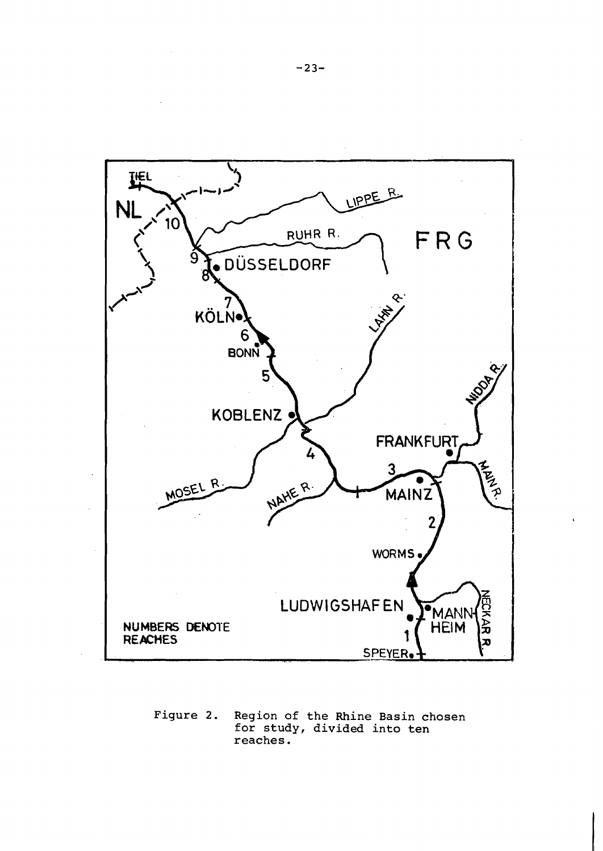

Figure 2. Region of the Rhine Basin chosen for study, divided into ten reaches.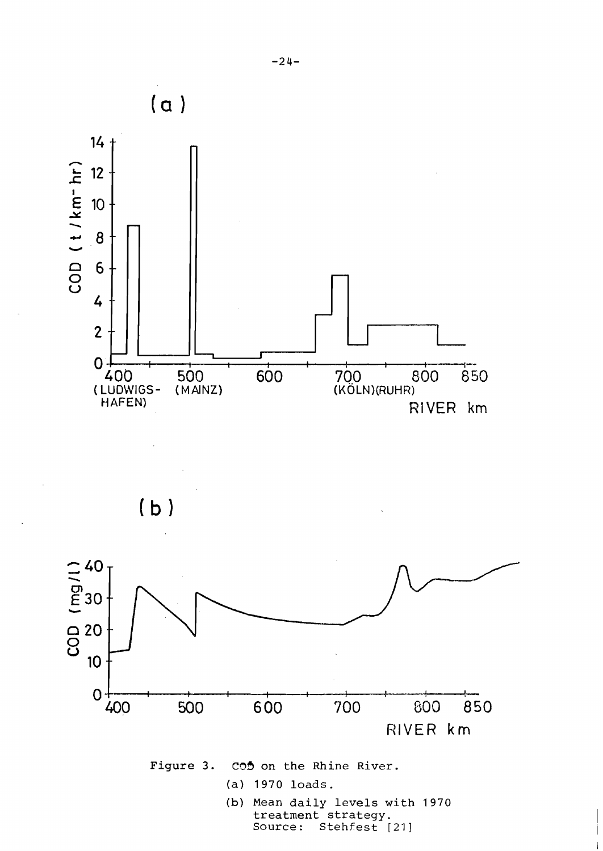

 $(b)$ 



- Figure 3. Cob on the Rhine River.
	- (a) 1970 loads.
	- (b) Mean daily levels with 1970 treatment strategy.<br>Source: Stehfest [ Stehfest [21]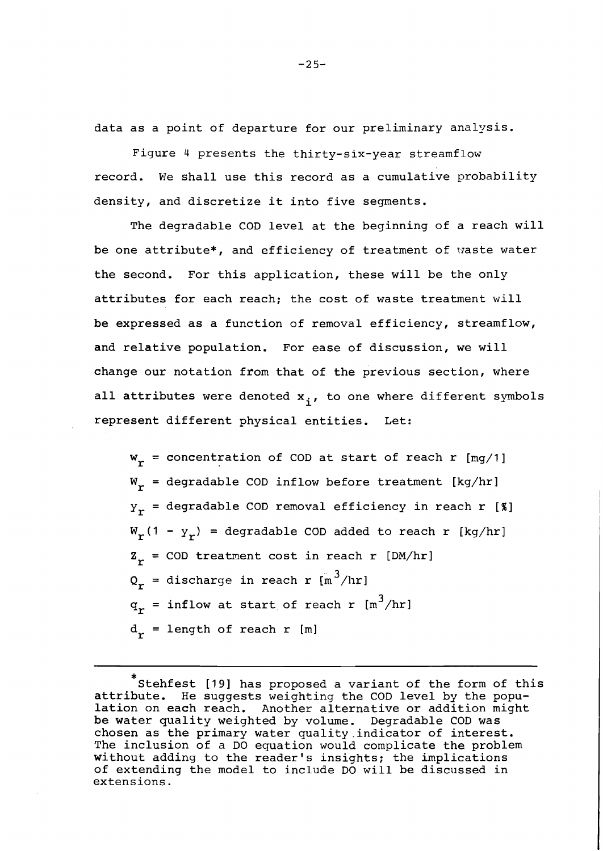data as a point of departure for our preliminary analysis.

Figure 4 presents the thirty-six-year streamflow record. We shall use this record as a cumulative probability density, and discretize it into five segments.

The degradable COD level at the beginning of a reach will be one attribute\*, and efficiency of treatment of waste water the second. For this application, these will be the only attributes for each reach; the cost of waste treatment will be expressed as a function of removal efficiency, streamflow, and relative population. For ease of discussion, we will change our notation from that of the previous section, where all attributes were denoted  $x_i$ , to one where different symbols represent different physical entities. Let:

 $W_r$  = concentration of COD at start of reach r [mg/1]  $W_r$  = degradable COD inflow before treatment [kg/hr]  $y_r$  = degradable COD removal efficiency in reach r [%]  $W_r(1 - Y_r)$  = degradable COD added to reach r [kg/hr]  $Z_r$  = COD treatment cost in reach r [DM/hr]  $Q_r$  = discharge in reach r  $\left[\frac{m^3}{hr}\right]$  $\mathbf{q}_{\mathbf{r}}$  = inflow at start of reach r  $[\mathfrak{m}^3/\hbar\mathbf{r}]$  $d_r$  = length of reach r [m]

 $-25-$ 

<sup>\*</sup>  Stehfest [I91 has proposed a variant of the form of this attribute. He suggests weighting the COD level by the population on each reach. Another alternative or addition might be water quality weighted by volume. Degradable COD was chosen as the primary water quality.indicator of interest. The inclusion of a DO equation would complicate the problem without adding to the reader's insights; the implications of extending the model to include DO will be discussed in extensions.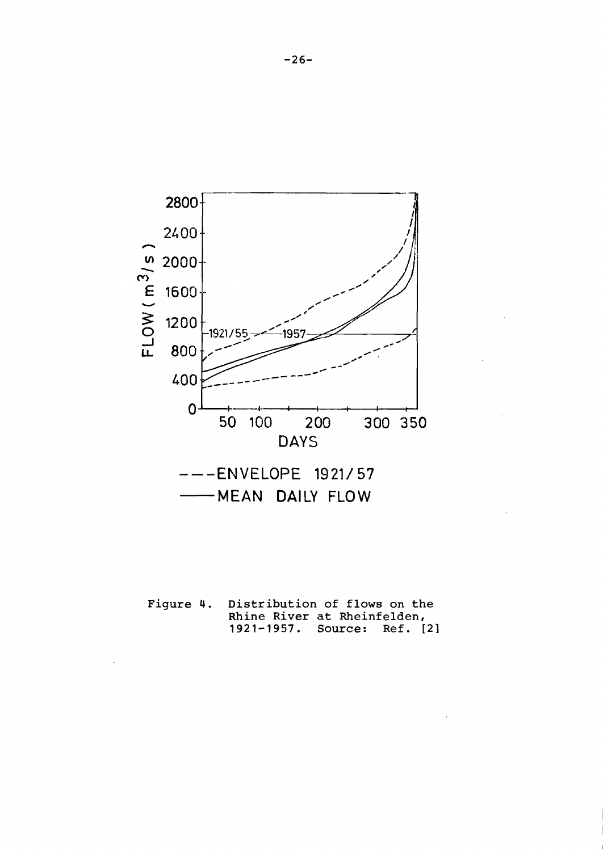

Figure 4. Distribution of flows on the Rhine River at Rheinfelden, **1921-1957.** Source: Ref. **[2]**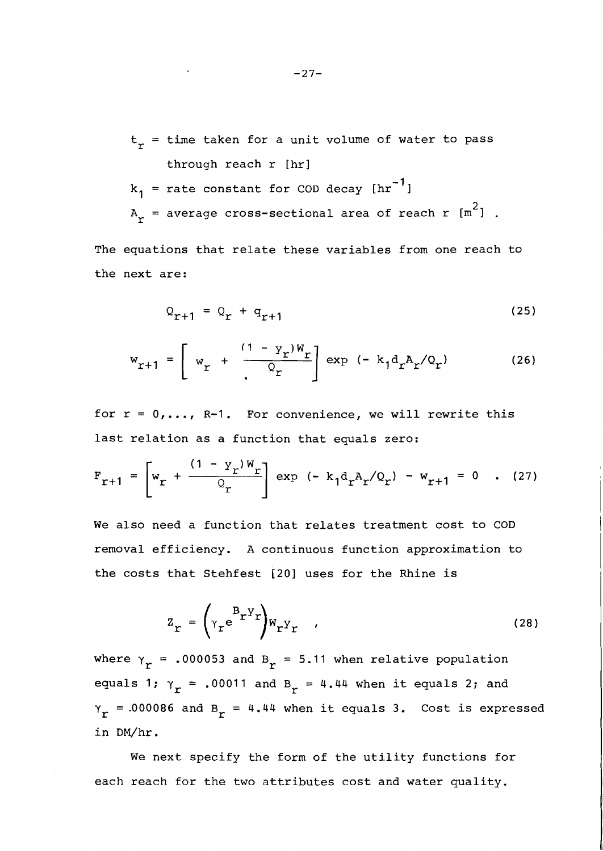$t_r$  = time taken for a unit volume of water to pass through reach r [hr]  $k_1$  = rate constant for COD decay [hr<sup>-1</sup>]

$$
A_r
$$
 = average cross-sectional area of reach r [m<sup>2</sup>] .

The equations that relate these variables from one reach to the next are:

$$
Q_{r+1} = Q_r + q_{r+1} \tag{25}
$$

$$
w_{r+1} = \begin{bmatrix} w_r + \frac{(1 - y_r)W_r}{Q_r} \end{bmatrix} \exp (-k_1 d_r A_r / Q_r)
$$
 (26)

for  $r = 0, \ldots$ , R-1. For convenience, we will rewrite this last relation as a function that equals zero:

$$
F_{r+1} = \begin{bmatrix} w_r + \frac{(1 - Y_r)W_r}{Q_r} \end{bmatrix} \exp (-k_1 d_r A_r / Q_r) - w_{r+1} = 0 \quad . \tag{27}
$$

We also need a function that relates treatment cost to COD removal efficiency. A continuous function approximation to the costs that Stehfest [20] uses for the Rhine is

$$
Z_{r} = \left(\gamma_{r} e^{B_{r} Y_{r}}\right) W_{r} Y_{r} \qquad (28)
$$

where  $\gamma_r = .000053$  and  $B_r = 5.11$  when relative population equals 1;  $\gamma_r = .00011$  and B<sub>r</sub> = 4.44 when it equals 2; and  $Y_r$  = .000086 and B<sub>r</sub> = 4.44 when it equals 3. Cost is expressed in DM/hr.

We next specify the form of the utility functions for each reach for the two attributes cost and water quality.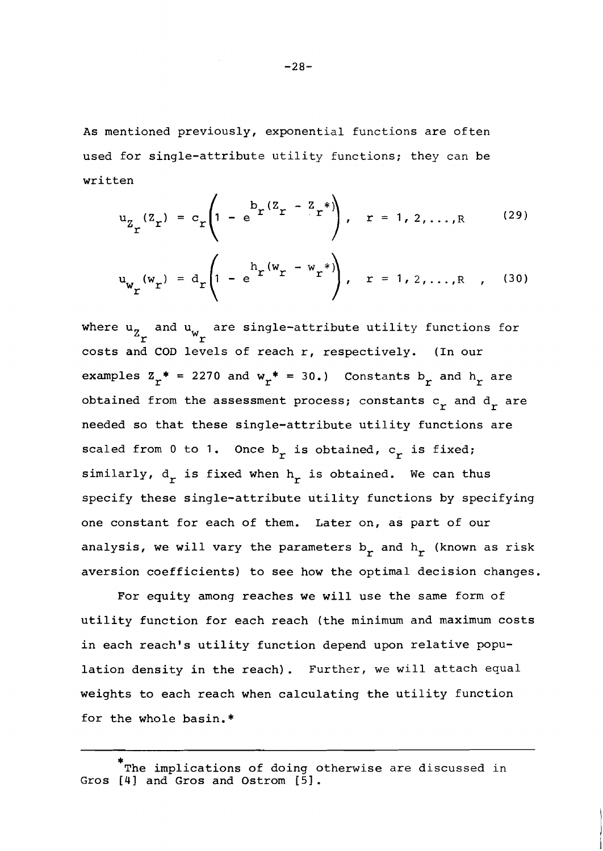As mentioned previously, exponential functions are often used for single-attribute utility functions; they can be written

$$
u_{Z_{r}}(z_{r}) = c_{r} \left(1 - e^{b_{r}(Z_{r} - Z_{r}^{*})}\right), \quad r = 1, 2, ..., R
$$
 (29)

$$
u_{w_{r}}(w_{r}) = d_{r} \left(1 - e^{h_{r}(w_{r} - w_{r}^{*})}\right), \quad r = 1, 2, ..., R \quad , \quad (30)
$$

where  $u_{\sigma}$  and  $u_{\sigma}$  are single-attribute utility functions for  $z_r$   $w_r$ costs and COD levels of reach r, respectively. (In our examples  $z_r^* = 2270$  and  $w_r^* = 30.$ ) Constants  $b_r$  and  $h_r$  are obtained from the assessment process; constants  $c_r$  and  $d_r$  are needed so that these single-attribute utility functions are scaled from 0 to 1. Once  $b_r$  is obtained,  $c_r$  is fixed; similarly,  $d_r$  is fixed when  $h_r$  is obtained. We can thus specify these single-attribute utility functions by specifying one constant for each of them. Later on, as part of our analysis, we will vary the parameters  $b_r$  and  $h_r$  (known as risk aversion coefficients) to see how the optimal decision changes.

For equity among reaches we will use the same form of utility function for each reach (the minimum and maximum costs in each reach's utility function depend upon relative population density in the reach). Further, we will attach equal weights to each reach when calculating the utility function for the whole basin.\*

<sup>\*</sup>  The implications of doing otherwise are discussed in Gros [4] and Gros and Ostrom [5].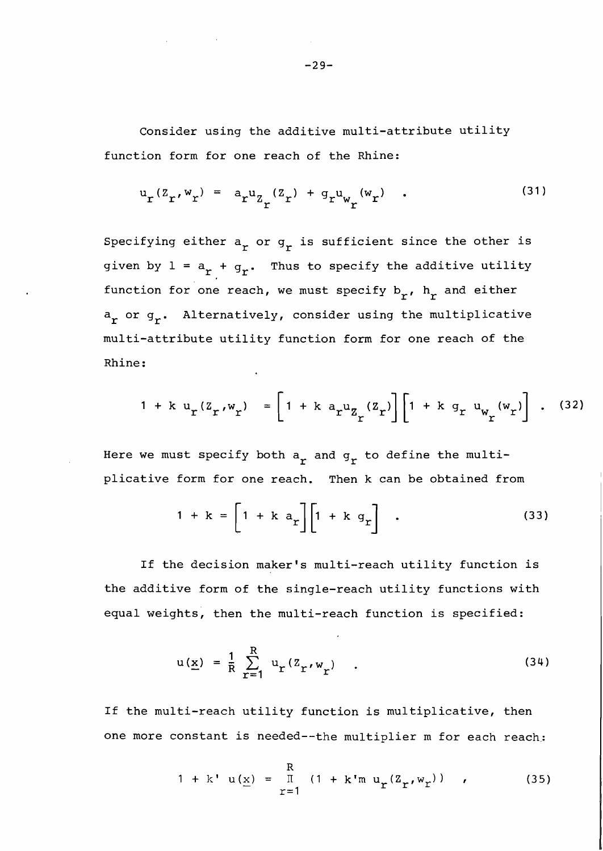Consider using the additive multi-attribute utility function form for one reach of the Rhine:

$$
\mathbf{u}_{\mathbf{r}}(\mathbf{z}_{\mathbf{r}}, \mathbf{w}_{\mathbf{r}}) = \mathbf{a}_{\mathbf{r}} \mathbf{u}_{\mathbf{Z}_{\mathbf{r}}}(\mathbf{z}_{\mathbf{r}}) + \mathbf{g}_{\mathbf{r}} \mathbf{u}_{\mathbf{w}_{\mathbf{r}}}(\mathbf{w}_{\mathbf{r}}) \quad . \tag{31}
$$

Specifying either  $a_r$  or  $g_r$  is sufficient since the other is given by  $1 = a_r + g_r$ . Thus to specify the additive utility function for one reach, we must specify  $b_r$ ,  $h_r$  and either  $a_r$  or  $g_r$ . Alternatively, consider using the multiplicative multi-attribute utility function form for one reach of the Rhine :

$$
1 + k u_r(z_r, w_r) = \left[1 + k a_r u_{z_r}(z_r)\right] \left[1 + k g_r u_{w_r}(w_r)\right].
$$
 (32)

Here we must specify both  $a_r$  and  $g_r$  to define the multiplicative form for one reach. Then k can be obtained from

$$
1 + k = \left[1 + k a_{r}\right]\left[1 + k g_{r}\right] \quad . \tag{33}
$$

If the decision maker's multi-reach utility function is the additive form of the single-reach utility functions with equal weights, then the multi-reach function is specified:

$$
u(\underline{x}) = \frac{1}{R} \sum_{r=1}^{R} u_r(z_r, w_r) \qquad (34)
$$

If the multi-reach utility function is multiplicative, then one more constant is needed--the multiplier m for each reach:

$$
1 + k' u(\underline{x}) = \prod_{r=1}^{R} (1 + k'm u_r(z_r, w_r)) , \qquad (35)
$$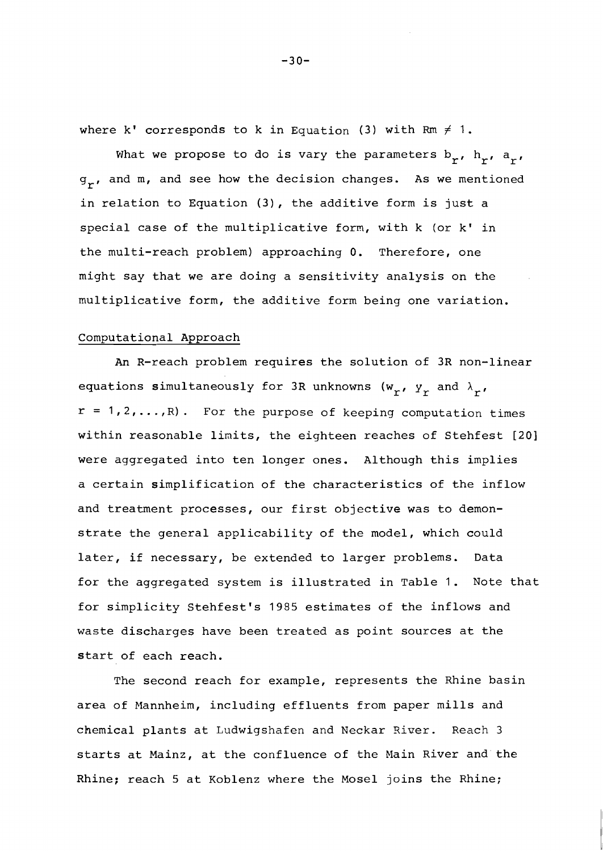where k' corresponds to k in Equation (3) with Rm  $\neq$  1.

What we propose to do is vary the parameters  $b_r$ ,  $h_r$ ,  $a_r$ ,  $\mathbf{g}_{_{\mathbf{T}}}$ , and  $\mathbf{m}$ , and see how the decision changes. As we mentioned in relation to Equation (3), the additive form is just a special case of the multiplicative form, with k (or k' in the multi-reach problem) approaching **0.** Therefore, one might say that we are doing a sensitivity analysis on the multiplicative form, the additive form being one variation.

#### Computational Approach

An R-reach problem requires the solution of 3R non-linear equations simultaneously for 3R unknowns ( $w_r$ ,  $y_r$  and  $\lambda_r$ ,  $r = 1, 2, ..., R$ ). For the purpose of keeping computation times within reasonable limits, the eighteen reaches of Stehfest [20] were aggregated into ten longer ones. Although this implies a certain simplification of the characteristics of the inflow and treatment processes, our first objective was to demonstrate the general applicability of the model, which could later, if necessary, be extended to larger problems. Data for the aggregated system is illustrated in Table 1. Note that for simplicity Stehfest's 1985 estimates of the inflows and waste discharges have been treated as point sources at the start of each reach.

The second reach for example, represents the Rhine basin area of Mannheim, including effluents from paper mills and chemical plants at Ludwigshafen and Neckar River. Reach 3 starts at Mainz, at the confluence of the Main River and the Rhine; reach 5 at Koblenz where the Mosel joins the Rhine;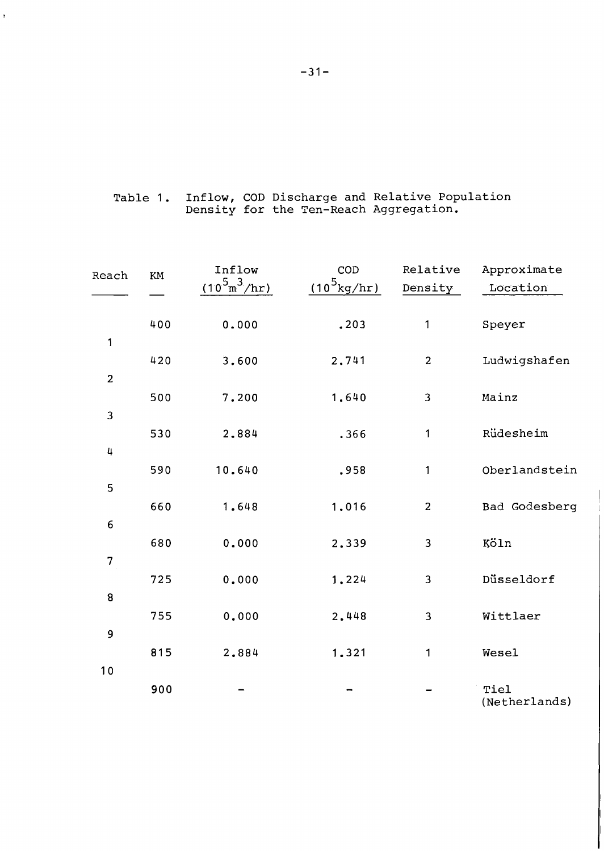**Table 1. Inflow, COD Discharge and Relative Population Density for the Ten-Reach Aggregation.** 

| Reach                         | $\rm{KM}$ | Inflow<br>$(10^5 \text{m}^3/\text{hr})$ | COD<br>$(10^5 \text{kg/hr})$ | Relative<br>Density | Approximate<br>Location |
|-------------------------------|-----------|-----------------------------------------|------------------------------|---------------------|-------------------------|
|                               | 400       | 0.000                                   | .203                         | 1                   | Speyer                  |
| 1                             | 420       | 3.600                                   | 2.741                        | $\overline{2}$      | Ludwigshafen            |
| $\mathbf{2}$                  | 500       | 7.200                                   | 1.640                        | 3                   | Mainz                   |
| $\mathbf{3}$                  | 530       | 2.884                                   | .366                         | 1                   | Rüdesheim               |
| 4                             | 590       | 10.640                                  | .958                         | $\mathbf{1}$        | Oberlandstein           |
| 5                             | 660       | 1.648                                   | 1,016                        | $\overline{2}$      | Bad Godesberg           |
| 6                             | 680       | 0.000                                   | 2.339                        | 3                   | Köln                    |
| $\overline{\mathcal{L}}$<br>8 | 725       | 0.000                                   | 1.224                        | $\overline{3}$      | Düsseldorf              |
| 9                             | 755       | 0.000                                   | 2.448                        | 3                   | Wittlaer                |
| 10                            | 815       | 2.884                                   | 1.321                        | 1                   | Wesel                   |
|                               | 900       |                                         |                              |                     | Tiel<br>(Netherlands)   |

 $-31-$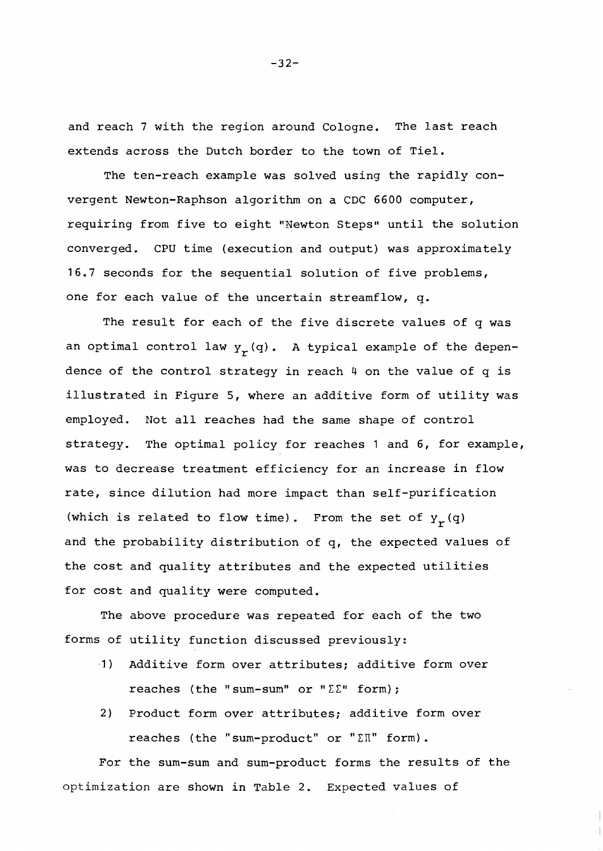and reach 7 with the region around Cologne. The last reach extends across the Dutch border to the town of Tiel.

The ten-reach example was solved using the rapidly convergent Newton-Raphson algorithm on a CDC 6600 computer, requiring from five to eight "Newton Steps" until the solution converged. CPU time (execution and output) was approximately 16.7 seconds for the sequential solution of five problems, one for each value of the uncertain streamflow, **q.** 

The result for each of the five discrete values of q was an optimal control law  $y_r(q)$ . A typical example of the dependence of the control strategy in reach 4 on the value of q is illustrated in Figure 5, where an additive form of utility was employed. Not all reaches had the same shape of control strategy. The optimal policy for reaches 1 and 6, for example, was to decrease treatment efficiency for an increase in flow rate, since dilution had more impact than self-purification (which is related to flow time). From the set of  $y_r(q)$ and the probability distribution of q, the expected values of the cost and quality attributes and the expected utilities for cost and quality were computed.

The above procedure was repeated for each of the two forms of utility function discussed previously:

- .I) Additive form over attributes; additive form over reaches (the " sum-sum" or " **CC"** form) ;
- 2) Product form over attributes; additive form over reaches (the "sum-product" or " $\Sigma\Pi$ " form).

For the sum-sum and sum-product forms the results of the optimization are shown in Table 2. Expected values of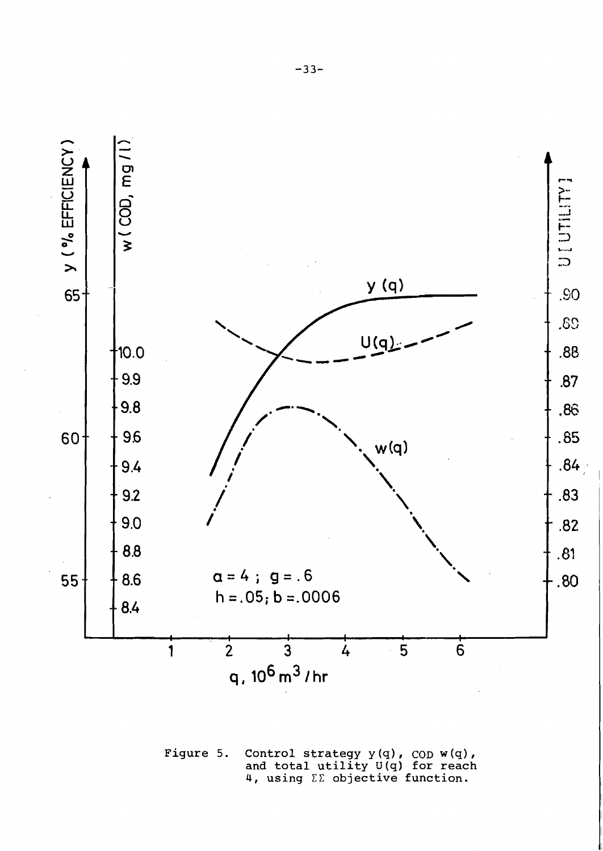

**Figure 5. Control strategy y(q), COD ~(q), and total utility U(q) for reach 4, using** CC **objective function.**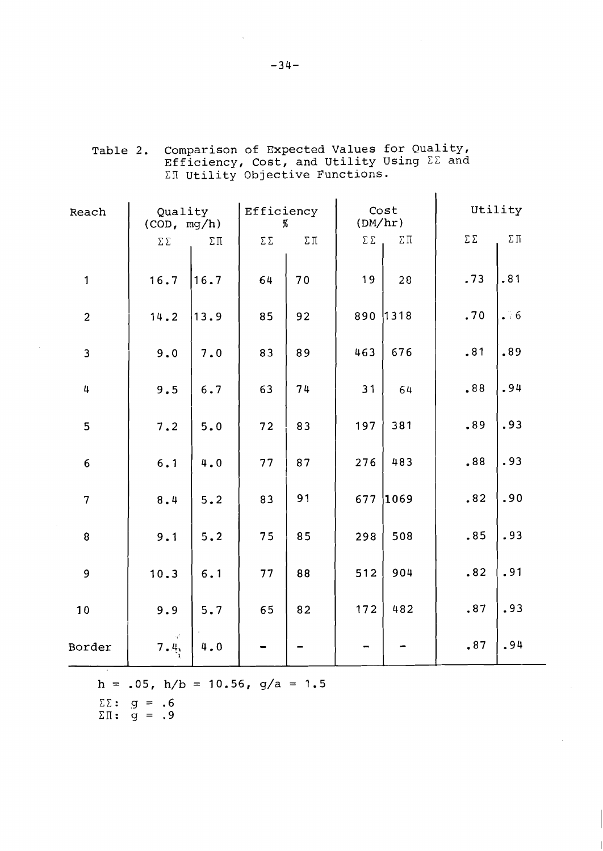| Reach                              |                   | Quality<br>(COD, mg/h) |                   | Efficiency<br>% |     | Cost<br>(DM/hr) |                   | Utility        |  |
|------------------------------------|-------------------|------------------------|-------------------|-----------------|-----|-----------------|-------------------|----------------|--|
|                                    | $\Sigma$ $\Sigma$ | $\Sigma\,\Pi$          | $\Sigma$ $\Sigma$ | $\Sigma \Pi$    | ΣΣ  | $\Sigma$ $\Pi$  | $\Sigma$ $\Sigma$ | $\Sigma$ $\Pi$ |  |
| $\mathbf{1}$                       | 16.7              | 16.7                   | 64                | 70              | 19  | 28              | .73               | .81            |  |
| $\overline{c}$                     | 14.2              | 13.9                   | 85                | 92              | 890 | 1318            | .70               | .76            |  |
| $\overline{3}$                     | 9.0               | 7.0                    | 83                | 89              | 463 | 676             | .81               | .89            |  |
| $\frac{1}{2}$                      | 9.5               | 6.7                    | 63                | 74              | 31  | 64              | .88               | .94            |  |
| 5                                  | 7.2               | 5.0                    | 72                | 83              | 197 | 381             | .89               | .93            |  |
| $6\phantom{1}6$                    | 6.1               | 4.0                    | 77                | 87              | 276 | 483             | .88               | .93            |  |
| $\overline{7}$                     | 8.4               | 5.2                    | 83                | 91              | 677 | 1069            | .82               | .90            |  |
| $\bf{8}$                           | 9.1               | 5.2                    | 75                | 85              | 298 | 508             | .85               | .93            |  |
| 9                                  | 10.3              | 6.1                    | 77                | 88              | 512 | 904             | .82               | .91            |  |
| 10                                 | 9.9               | 5.7                    | 65                | 82              | 172 | 482             | .87               | .93            |  |
| Border<br>$\overline{\phantom{a}}$ | чf.<br>7.4        | $4.0$                  |                   |                 |     |                 | .87               | .94            |  |

**Table 2. Comparison of Expected Values for Quality, Efficiency, Cost, and Utility Using** CC **and**  Ci7 **Utility Objective Functions.** 

 $h = .05$ ,  $h/b = 10.56$ ,  $g/a = 1.5$  $\Sigma: g = .6$ 

 $\Sigma \Pi$ : g = .9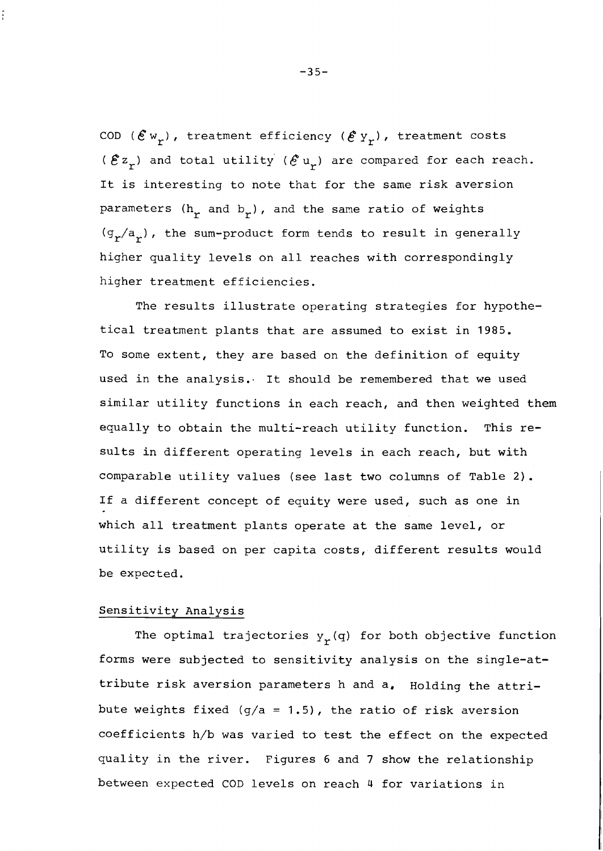COD ( ${\mathcal E} w_r$ ), treatment efficiency ( ${\mathcal E} y_r$ ), treatment costs  $(\mathcal{E}z_r)$  and total utility  $(\mathcal{E}u_r)$  are compared for each reach. It is interesting to note that for the same risk aversion parameters  $(h_r$  and  $b_r)$ , and the same ratio of weights  $(g_r/a_r)$ , the sum-product form tends to result in generally higher quality levels on all reaches with correspondingly higher treatment efficiencies.

The results illustrate operating strategies for hypothetical treatment plants that are assumed to exist in 1985. To some extent, they are based on the definition of equity used in the analysis. It should be remembered that we used similar utility functions in each reach, and then weighted them equally to obtain the multi-reach utility function. This results in different operating levels in each reach, but with comparable utility values (see last two columns of Table 2). If a different concept of equity were used, such as one in which all treatment plants operate at the same level, or utility is based on per capita costs, different results would be expected.

#### Sensitivity Analysis

The optimal trajectories  $y_r(q)$  for both objective function forms were subjected to sensitivity analysis on the single-attribute risk aversion parameters h and a, Holding the attribute weights fixed (g/a = **1.5),** the ratio of risk aversion coefficients h/b was varied to test the effect on the expected quality in the river. Figures 6 and 7 show the relationship between expected COD levels on reach 4 for variations in

 $-35-$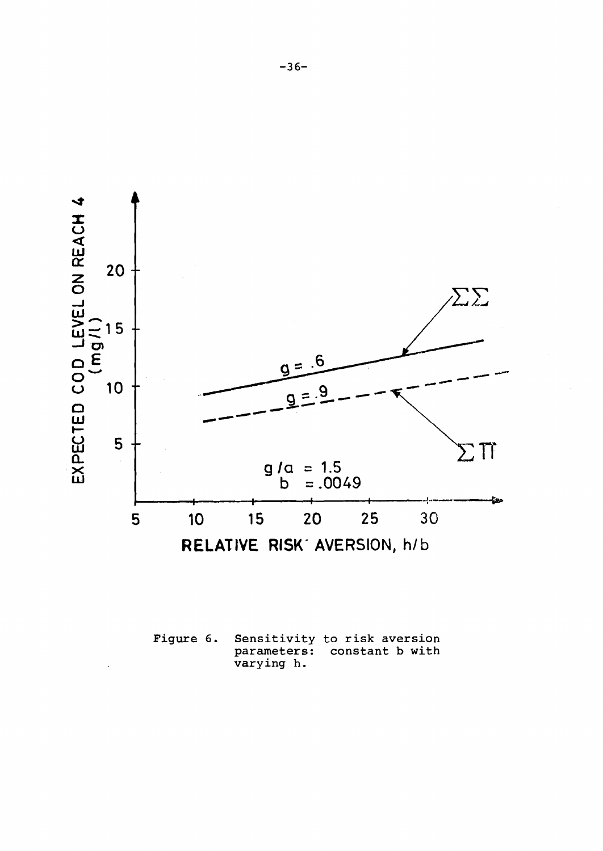![](_page_39_Figure_0.jpeg)

Figure 6. Sensitivity to risk aversion parameters: constant b with varying h.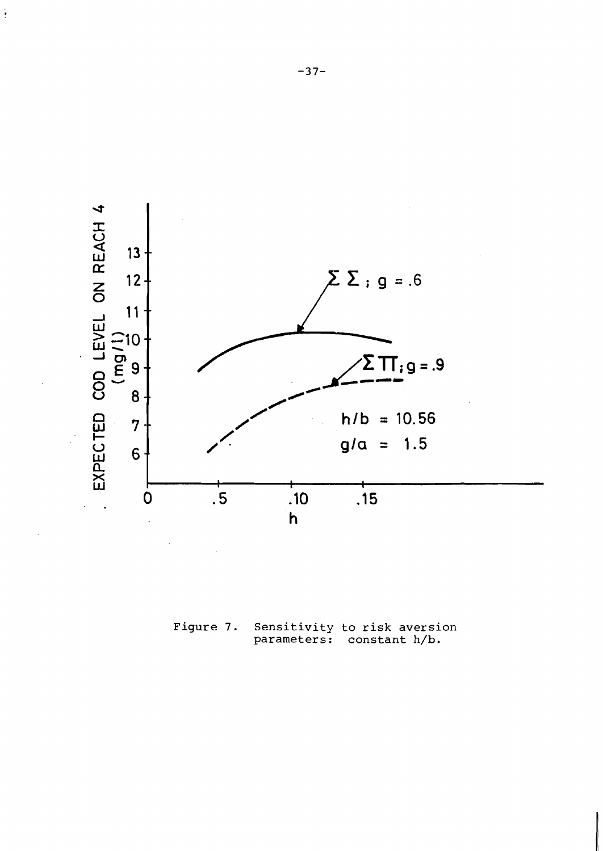![](_page_40_Figure_0.jpeg)

**Figure 7. Sensitivity to risk aversion parameters: constant** h/b.

 $\ddot{\ddot{\xi}}$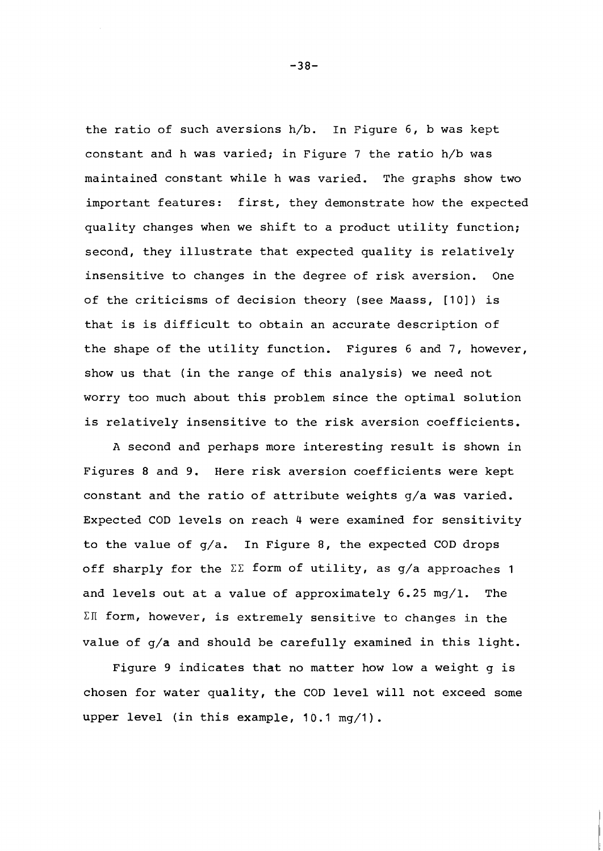the ratio of such aversions h/b. In Figure 6, b was kept constant and h was varied; in Figure 7 the ratio h/b was maintained constant while h was varied. The graphs show two important features: first, they demonstrate how the expected quality changes when we shift to a product utility function; second, they illustrate that expected quality is relatively insensitive to changes in the degree of risk aversion. One of the criticisms of decision theory (see Maass, [10]) is that is is difficult to obtain an accurate description of the shape of the utility function. Figures 6 and 7, however, show us that (in the range of this analysis) we need not worry too much about this problem since the optimal solution is relatively insensitive to the risk aversion coefficients.

A second and perhaps more interesting result is shown in Figures 8 and 9. Here risk aversion coefficients were kept constant and the ratio of attribute weights g/a was varied. Expected COD levels on reach 4 were examined for sensitivity to the value of g/a. In Figure 8, the expected COD drops off sharply for the  $\Sigma\Sigma$  form of utility, as g/a approaches 1 and levels out at a value of approximately 6.25 mg/l. The  $\Sigma$ II form, however, is extremely sensitive to changes in the value of g/a and should be carefully examined in this light.

Figure 9 indicates that no matter how low a weight g is chosen for water quality, the COD level will not exceed some upper level (in this example,  $10.1$  mg/1).

 $-38-$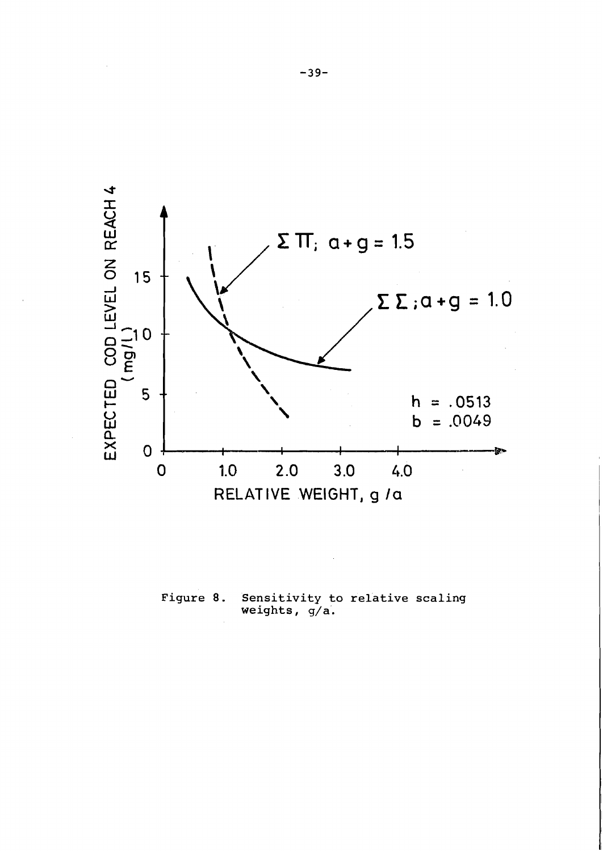![](_page_42_Figure_0.jpeg)

**Figure 8. Sensitivity to relative scaling weights, g/a.**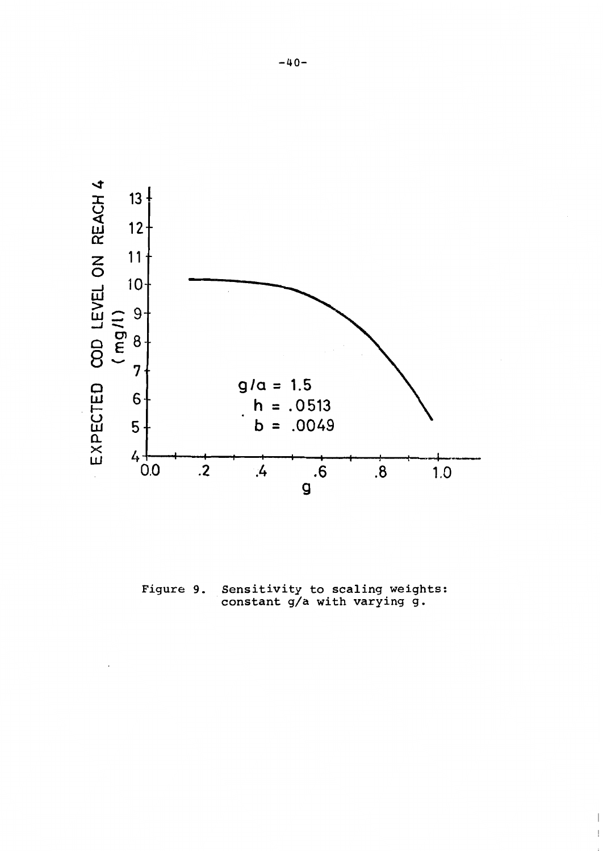![](_page_43_Figure_0.jpeg)

**Figure 9. Sensitivity to scaling weights: constant g/a with varying g.** 

 $\begin{array}{c} \hline \end{array}$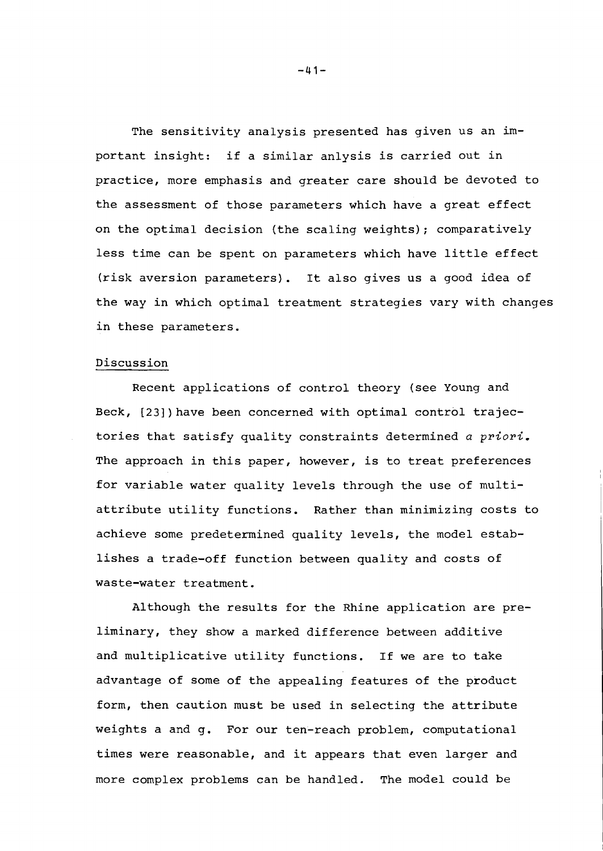The sensitivity analysis presented has given us an important insight: if a similar anlysis is carried out in practice, more emphasis and greater care should be devoted to the assessment of those parameters which have a great effect on the optimal decision (the scaling weights); comparatively less time can be spent on parameters which have little effect (risk aversion parameters). It also gives us a good idea of the way in which optimal treatment strategies vary with changes in these parameters.

#### Discussion

Recent applications of control theory (see Young and Beck, [23]) have been concerned with optimal control trajectories that satisfy quality constraints determined a **priori.**  The approach in this paper, however, is to treat preferences for variable water quality levels through the use of multiattribute utility functions. Rather than minimizing costs to achieve some predetermined quality levels, the model establishes a trade-off function between quality and costs of waste-water treatment.

Although the results for the Rhine application are preliminary, they show a marked difference between additive and multiplicative utility functions. If we are to take advantage of some of the appealing features of the product form, then caution must be used in selecting the attribute weights a and g. For our ten-reach problem, computational times were reasonable, and it appears that even larger and more complex problems can be handled. The model could be

 $-41-$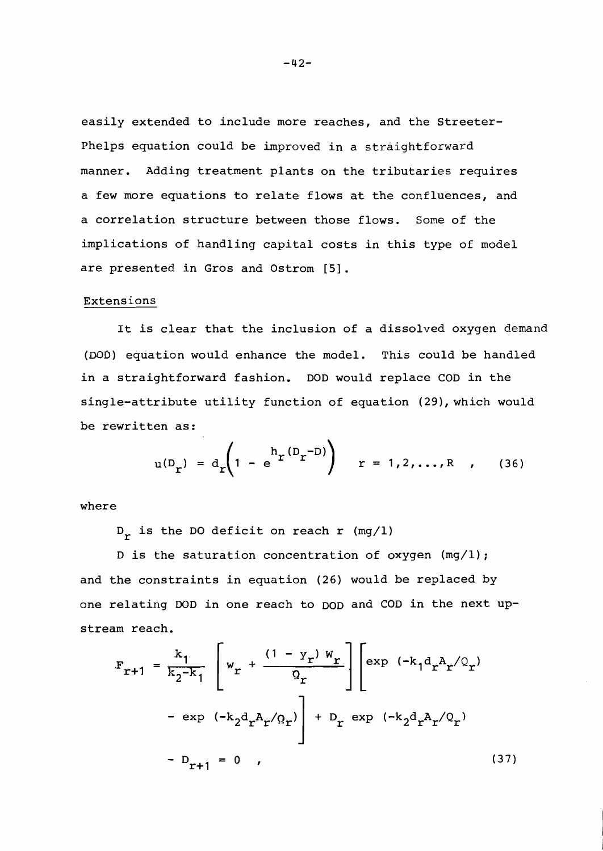easily extended to include more reaches, and the Streeter-Phelps equation could be improved in a straightforward manner. Adding treatment plants on the tributaries requires a few more equations to relate flows at the confluences, and a correlation structure between those flows. Some of the implications of handling capital costs in this type of model are presented in Gros and Ostrom **[5].** 

#### Extensions

It is clear that the inclusion of a dissolved oxygen demand **(DO01** equation would enhance the model. This could be handled in a straightforward fashion. DOD would replace COD in the single-attribute utility function of equation (29), which would be rewritten as:

$$
u(D_r) = d_r \left(1 - e^{h_r (D_r - D)}\right)
$$
 r = 1, 2, ..., R , (36)

where

 $D_r$  is the DO deficit on reach r (mg/1)

D is the saturation concentration of oxygen  $(mg/1)$ ; and the constraints in equation (26) would be replaced by one relating DOD in one reach to DOD and COD in the next upstream reach.

$$
F_{r+1} = \frac{k_1}{k_2 - k_1} \left[ w_r + \frac{(1 - y_r) w_r}{Q_r} \right] \left[ exp \left( -k_1 d_r A_r / Q_r \right) - exp \left( -k_2 d_r A_r / Q_r \right) \right]
$$
  
- exp \left( -k\_2 d\_r A\_r / Q\_r \right) + D\_r exp \left( -k\_2 d\_r A\_r / Q\_r \right)  
- D\_{r+1} = 0 (37)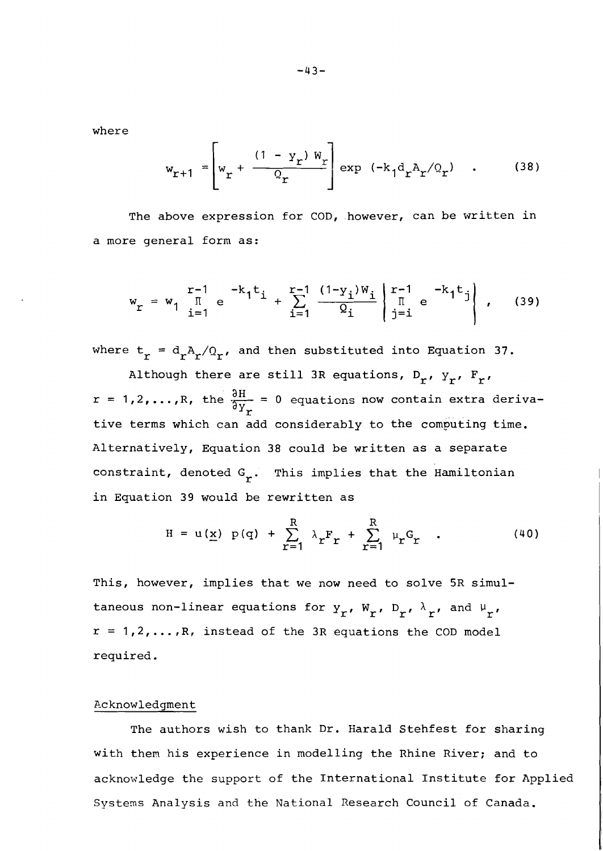where

$$
w_{r+1} = \left[ w_r + \frac{(1 - y_r) w_r}{Q_r} \right] \exp (-k_1 d_r A_r / Q_r) \quad . \tag{38}
$$

The above expression for COD, however, can be written in a more general form as:

$$
w_r = w_1 \prod_{i=1}^{r-1} e^{-k_1 t_i} + \sum_{i=1}^{r-1} \frac{(1-y_i)w_i}{Q_i} \begin{vmatrix} r-1 & -k_1 t_i \\ \prod_{j=i}^{r-1} e^{-k_1 t_j} \end{vmatrix}
$$
, (39)

where  $t_r = d_r A_r / Q_r$ , and then substituted into Equation 37.

Although there are still 3R equations,  $D_r$ ,  $Y_r$ ,  $F_r$ ,  $\rm{^{3}H}_{-}$ r = 1,2,...,R, the  $\frac{\partial H}{\partial y}$  = 0 equations now contain extra derivar tive terms which can add considerably to the computing time. Alternatively, Equation 38 could be written as a separate constraint, denoted  $G_r$ . This implies that the Hamiltonian in Equation 39 would be rewritten as

$$
H = u(\underline{x}) p(q) + \sum_{r=1}^{R} \lambda_r F_r + \sum_{r=1}^{R} \mu_r G_r
$$
 (40)

This, however, implies that we now need to solve 5R simultaneous non-linear equations for  $y_r$ ,  $W_r$ ,  $D_r$ ,  $\lambda_r$ , and  $\mu_r$ , r = 1,2, ..., **R,** instead of the 3R equations the COD model required.

#### Acknowledgment

The authors wish to thank Dr. Harald Stehfest for sharing with them his experience in modelling the Rhine River; and to acknowledge the support of the International Institute for Applied Systens Analysis and the National Research Council of Canada.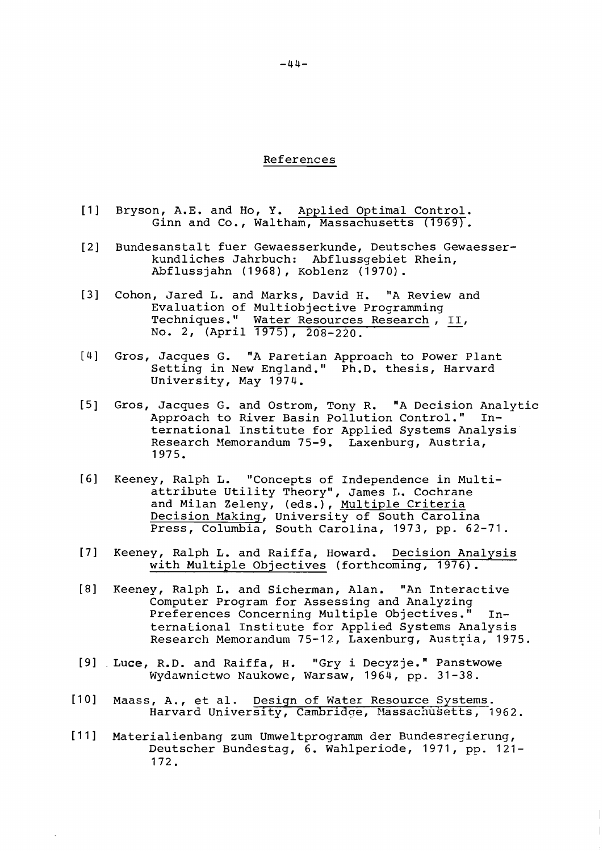#### References

- $[1]$ Bryson, A.E. and Ho, Y. Applied Optimal Control. Ginn and Co., Waltham, Massachusetts (1969).
- $121$ Bundesanstalt fuer Gewaesserkunde, Deutsches Gewaesserkundliches Jahrbuch: Abflussgebiet Rhein, Abflussjahn (1968), Koblenz (1970).
- [3] Cohon, Jared L. and Marks, David H. "A Review and Evaluation of Multiobjective Programming Techniques." Water Resources Research, II, No. 2, (April 1975), 208-220.
- $[4]$ Gros, Jacques G. "A Paretian Approach to Power Plant Setting in New England." Ph.D. thesis, Harvard University, May 1974.
- $[5]$ Gros, Jacques G. and Ostrom, Tony R. "A Decision Analytic Approach to River Basin Pollution Control." International Institute for Applied Systems Analysis Research Memorandum 75-9. Laxenburg, Austria, 1975.
- Keeney, Ralph L. "Concepts of Independence in Multi-<br>attribute Utility Theory", James L. Cochrane<br>and Milan Zeleny, (eds.), <u>Multiple Criteria</u><br>Decision Making, University of South Carolina<br>Press, Columbia, South Carolina, Keeney, Ralph L. "Concepts of Independence in Multi- $[6]$ attribute Utility Theory", James L. Cochrane and Milan Zeleny, (eds.), <u>Multiple Criteria</u> Decision Makinq, University of South Carolina Press, Columbia, South Carolina, 1973, pp. 62-71.
- $[7]$ Keeney, Ralph L. and Raiffa, Howard. Decision Analysis<br>with Multiple Objectives (forthcoming, 1976).
- $[8]$ Keeney, Ralph L. and Sicherman, Alan. "An Interactive Computer Program for Assessing and Analyzing Preferences Concerning Multiple Objectives." International Institute for Applied Systems Analysis Research Memorandum 75-12, Laxenburg, Austria, 1975.
- [9] Luce, R.D. and Raiffa, H. "Gry i Decyzje." Panstwowe Wydawnictwo Naukowe, Warsaw, 1964, pp. 31-38.
- $[10]$ Maass, A., et al. Design of Water Resource Systems. Harvard University, Cambridge, Massachusetts, 1962.
- $[11]$ Materialienbang zum Umweltprogramm der Bundesregierung, Deutscher Bundestag, 6. Wahlperiode, 1971, pp. 121- 172.